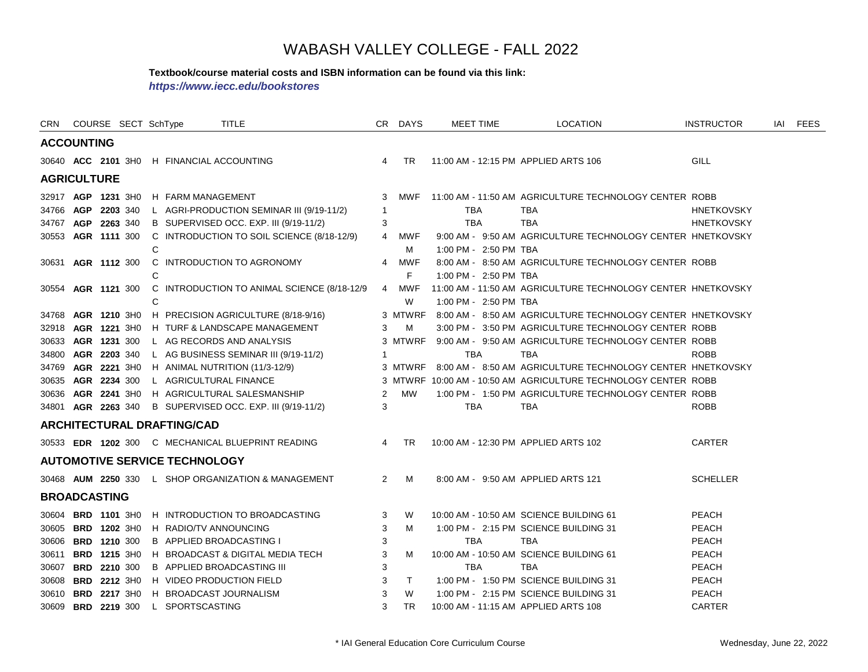#### **Textbook/course material costs and ISBN information can be found via this link:**

*https://www.iecc.edu/bookstores*

| CRN   |                     | COURSE SECT SchType                  | TITLE                                               |                | CR DAYS   | <b>MEET TIME</b>      | <b>LOCATION</b>                                                    | <b>INSTRUCTOR</b> | iai | FEES |
|-------|---------------------|--------------------------------------|-----------------------------------------------------|----------------|-----------|-----------------------|--------------------------------------------------------------------|-------------------|-----|------|
|       | <b>ACCOUNTING</b>   |                                      |                                                     |                |           |                       |                                                                    |                   |     |      |
|       |                     |                                      | 30640 ACC 2101 3H0 H FINANCIAL ACCOUNTING           | $\overline{4}$ | <b>TR</b> |                       | 11:00 AM - 12:15 PM APPLIED ARTS 106                               | <b>GILL</b>       |     |      |
|       | <b>AGRICULTURE</b>  |                                      |                                                     |                |           |                       |                                                                    |                   |     |      |
|       | 32917 AGP 1231 3H0  | H FARM MANAGEMENT                    |                                                     | 3              | MWF       |                       | 11:00 AM - 11:50 AM AGRICULTURE TECHNOLOGY CENTER ROBB             |                   |     |      |
|       | 34766 AGP 2203 340  |                                      | L AGRI-PRODUCTION SEMINAR III (9/19-11/2)           | $\overline{1}$ |           | TBA                   | TBA                                                                | <b>HNETKOVSKY</b> |     |      |
|       | 34767 AGP 2263 340  |                                      | B SUPERVISED OCC. EXP. III (9/19-11/2)              | 3              |           | <b>TBA</b>            | <b>TBA</b>                                                         | <b>HNETKOVSKY</b> |     |      |
|       | 30553 AGR 1111 300  |                                      | C INTRODUCTION TO SOIL SCIENCE (8/18-12/9)          | 4              | MWF       |                       | 9:00 AM - 9:50 AM AGRICULTURE TECHNOLOGY CENTER HNETKOVSKY         |                   |     |      |
|       |                     | С                                    |                                                     |                | M         | 1:00 PM - 2:50 PM TBA |                                                                    |                   |     |      |
|       | 30631 AGR 1112 300  |                                      | C INTRODUCTION TO AGRONOMY                          | 4              | MWF       |                       | 8:00 AM - 8:50 AM AGRICULTURE TECHNOLOGY CENTER ROBB               |                   |     |      |
|       |                     | С                                    |                                                     |                | F         | 1:00 PM - 2:50 PM TBA |                                                                    |                   |     |      |
|       | 30554 AGR 1121 300  |                                      | C INTRODUCTION TO ANIMAL SCIENCE (8/18-12/9         | 4              | MWF       |                       | 11:00 AM - 11:50 AM AGRICULTURE TECHNOLOGY CENTER HNETKOVSKY       |                   |     |      |
|       |                     | С                                    |                                                     |                | W         | 1:00 PM - 2:50 PM TBA |                                                                    |                   |     |      |
|       | 34768 AGR 1210 3H0  |                                      | H PRECISION AGRICULTURE (8/18-9/16)                 |                |           |                       | 3 MTWRF 8:00 AM - 8:50 AM AGRICULTURE TECHNOLOGY CENTER HNETKOVSKY |                   |     |      |
|       | 32918 AGR 1221 3H0  |                                      | H TURF & LANDSCAPE MANAGEMENT                       | 3              | M         |                       | 3:00 PM - 3:50 PM AGRICULTURE TECHNOLOGY CENTER ROBB               |                   |     |      |
|       | 30633 AGR 1231 300  |                                      | L AG RECORDS AND ANALYSIS                           |                |           |                       | 3 MTWRF 9:00 AM - 9:50 AM AGRICULTURE TECHNOLOGY CENTER ROBB       |                   |     |      |
|       | 34800 AGR 2203 340  |                                      | L AG BUSINESS SEMINAR III (9/19-11/2)               | -1             |           | <b>TBA</b>            | <b>TBA</b>                                                         | <b>ROBB</b>       |     |      |
|       | 34769 AGR 2221 3H0  |                                      | H ANIMAL NUTRITION (11/3-12/9)                      |                | 3 MTWRF   |                       | 8:00 AM - 8:50 AM AGRICULTURE TECHNOLOGY CENTER HNETKOVSKY         |                   |     |      |
|       | 30635 AGR 2234 300  |                                      | L AGRICULTURAL FINANCE                              |                |           |                       | 3 MTWRF 10:00 AM - 10:50 AM AGRICULTURE TECHNOLOGY CENTER ROBB     |                   |     |      |
|       |                     |                                      | 30636 AGR 2241 3H0 H AGRICULTURAL SALESMANSHIP      | $\overline{2}$ | MW        |                       | 1:00 PM - 1:50 PM AGRICULTURE TECHNOLOGY CENTER ROBB               |                   |     |      |
|       | 34801 AGR 2263 340  |                                      | B SUPERVISED OCC. EXP. III (9/19-11/2)              | 3              |           | <b>TBA</b>            | <b>TBA</b>                                                         | <b>ROBB</b>       |     |      |
|       |                     | <b>ARCHITECTURAL DRAFTING/CAD</b>    |                                                     |                |           |                       |                                                                    |                   |     |      |
|       |                     |                                      | 30533 EDR 1202 300 C MECHANICAL BLUEPRINT READING   | 4              | <b>TR</b> |                       | 10:00 AM - 12:30 PM APPLIED ARTS 102                               | <b>CARTER</b>     |     |      |
|       |                     | <b>AUTOMOTIVE SERVICE TECHNOLOGY</b> |                                                     |                |           |                       |                                                                    |                   |     |      |
|       |                     |                                      | 30468 AUM 2250 330 L SHOP ORGANIZATION & MANAGEMENT | $\overline{2}$ | M         |                       | 8:00 AM - 9:50 AM APPLIED ARTS 121                                 | <b>SCHELLER</b>   |     |      |
|       | <b>BROADCASTING</b> |                                      |                                                     |                |           |                       |                                                                    |                   |     |      |
| 30604 | <b>BRD 1101 3H0</b> |                                      | H INTRODUCTION TO BROADCASTING                      | 3              | W         |                       | 10:00 AM - 10:50 AM SCIENCE BUILDING 61                            | <b>PEACH</b>      |     |      |
| 30605 | BRD 1202 3H0        |                                      | H RADIO/TV ANNOUNCING                               | 3              | M         |                       | 1:00 PM - 2:15 PM SCIENCE BUILDING 31                              | <b>PEACH</b>      |     |      |
|       | 30606 BRD 1210 300  |                                      | <b>B APPLIED BROADCASTING I</b>                     | 3              |           | <b>TBA</b>            | <b>TBA</b>                                                         | <b>PEACH</b>      |     |      |
| 30611 | <b>BRD 1215 3H0</b> |                                      | H BROADCAST & DIGITAL MEDIA TECH                    | 3              | м         |                       | 10:00 AM - 10:50 AM SCIENCE BUILDING 61                            | <b>PEACH</b>      |     |      |
| 30607 | <b>BRD 2210 300</b> |                                      | <b>B APPLIED BROADCASTING III</b>                   | 3              |           | <b>TBA</b>            | <b>TBA</b>                                                         | <b>PEACH</b>      |     |      |
| 30608 | BRD 2212 3H0        |                                      | H VIDEO PRODUCTION FIELD                            | 3              | $\top$    |                       | 1:00 PM - 1:50 PM SCIENCE BUILDING 31                              | PEACH             |     |      |
|       | 30610 BRD 2217 3H0  |                                      | H BROADCAST JOURNALISM                              | 3              | W         |                       | 1:00 PM - 2:15 PM SCIENCE BUILDING 31                              | <b>PEACH</b>      |     |      |
|       | 30609 BRD 2219 300  | L SPORTSCASTING                      |                                                     | 3              | <b>TR</b> |                       | 10:00 AM - 11:15 AM APPLIED ARTS 108                               | <b>CARTER</b>     |     |      |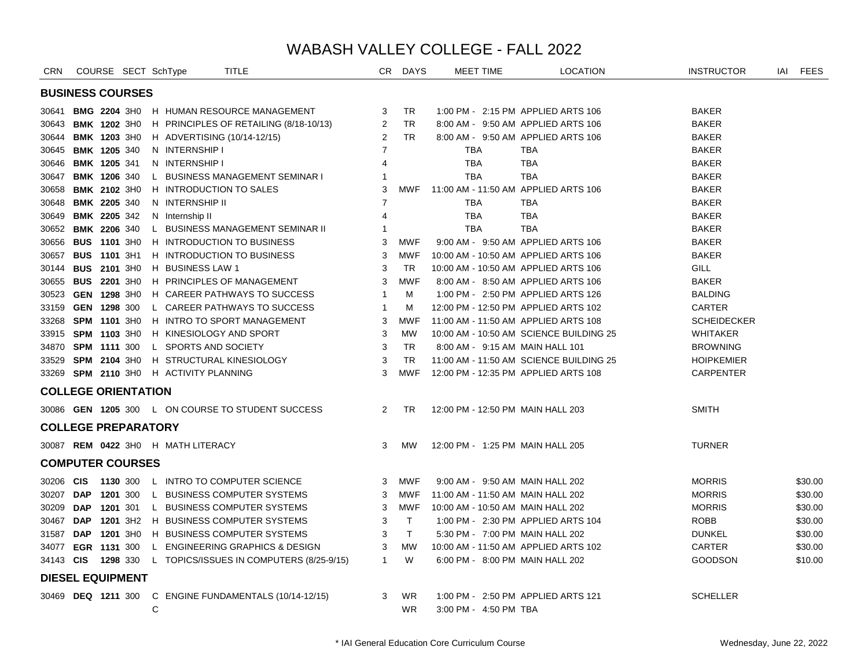| <b>CRN</b> |            | COURSE SECT SchType        |   |                                    | <b>TITLE</b>                                           |                | CR DAYS      | <b>MEET TIME</b>      | <b>LOCATION</b>                         |                | <b>INSTRUCTOR</b>  | IAI FEES |
|------------|------------|----------------------------|---|------------------------------------|--------------------------------------------------------|----------------|--------------|-----------------------|-----------------------------------------|----------------|--------------------|----------|
|            |            | <b>BUSINESS COURSES</b>    |   |                                    |                                                        |                |              |                       |                                         |                |                    |          |
|            |            | 30641 BMG 2204 3H0         |   |                                    | H HUMAN RESOURCE MANAGEMENT                            | 3              | TR           |                       | 1:00 PM - 2:15 PM APPLIED ARTS 106      | <b>BAKER</b>   |                    |          |
|            |            | 30643 BMK 1202 3H0         |   |                                    | H PRINCIPLES OF RETAILING (8/18-10/13)                 | $\overline{2}$ | <b>TR</b>    |                       | 8:00 AM - 9:50 AM APPLIED ARTS 106      | <b>BAKER</b>   |                    |          |
|            |            | 30644 BMK 1203 3H0         |   |                                    | H ADVERTISING (10/14-12/15)                            | 2              | TR.          |                       | 8:00 AM - 9:50 AM APPLIED ARTS 106      | <b>BAKER</b>   |                    |          |
|            |            | 30645 BMK 1205 340         |   | N INTERNSHIP I                     |                                                        | 7              |              | TBA                   | TBA                                     | <b>BAKER</b>   |                    |          |
| 30646      |            | <b>BMK 1205 341</b>        |   | N INTERNSHIP I                     |                                                        | $\overline{4}$ |              | <b>TBA</b>            | <b>TBA</b>                              | <b>BAKER</b>   |                    |          |
|            |            | 30647 BMK 1206 340         |   |                                    | L BUSINESS MANAGEMENT SEMINAR I                        | -1             |              | <b>TBA</b>            | <b>TBA</b>                              | <b>BAKER</b>   |                    |          |
|            |            | 30658 BMK 2102 3H0         |   |                                    | H INTRODUCTION TO SALES                                | 3              | MWF          |                       | 11:00 AM - 11:50 AM APPLIED ARTS 106    | <b>BAKER</b>   |                    |          |
| 30648      |            | <b>BMK 2205 340</b>        |   | N INTERNSHIP II                    |                                                        | $\overline{7}$ |              | <b>TBA</b>            | TBA                                     | <b>BAKER</b>   |                    |          |
|            |            | 30649 BMK 2205 342         |   | N Internship II                    |                                                        | 4              |              | <b>TBA</b>            | <b>TBA</b>                              | <b>BAKER</b>   |                    |          |
|            |            | 30652 BMK 2206 340         |   |                                    | L BUSINESS MANAGEMENT SEMINAR II                       | 1              |              | <b>TBA</b>            | <b>TBA</b>                              | <b>BAKER</b>   |                    |          |
|            |            | 30656 BUS 1101 3H0         |   |                                    | H INTRODUCTION TO BUSINESS                             | 3              | MWF          |                       | 9:00 AM - 9:50 AM APPLIED ARTS 106      | <b>BAKER</b>   |                    |          |
|            |            | 30657 BUS 1101 3H1         |   |                                    | H INTRODUCTION TO BUSINESS                             | 3              | MWF          |                       | 10:00 AM - 10:50 AM APPLIED ARTS 106    | <b>BAKER</b>   |                    |          |
|            |            | 30144 BUS 2101 3H0         |   | <b>H</b> BUSINESS LAW 1            |                                                        | 3              | TR.          |                       | 10:00 AM - 10:50 AM APPLIED ARTS 106    | <b>GILL</b>    |                    |          |
|            |            | 30655 BUS 2201 3H0         |   |                                    | H PRINCIPLES OF MANAGEMENT                             | 3              | <b>MWF</b>   |                       | 8:00 AM - 8:50 AM APPLIED ARTS 106      | <b>BAKER</b>   |                    |          |
|            |            | 30523 GEN 1298 3H0         |   |                                    | H CAREER PATHWAYS TO SUCCESS                           | $\overline{1}$ | м            |                       | 1:00 PM - 2:50 PM APPLIED ARTS 126      | <b>BALDING</b> |                    |          |
|            |            | 33159 GEN 1298 300         |   |                                    | L CAREER PATHWAYS TO SUCCESS                           | $\overline{1}$ | м            |                       | 12:00 PM - 12:50 PM APPLIED ARTS 102    | CARTER         |                    |          |
|            |            | 33268 SPM 1101 3H0         |   |                                    | H INTRO TO SPORT MANAGEMENT                            | 3              | <b>MWF</b>   |                       | 11:00 AM - 11:50 AM APPLIED ARTS 108    |                | <b>SCHEIDECKER</b> |          |
|            |            | 33915 SPM 1103 3H0         |   |                                    | H KINESIOLOGY AND SPORT                                | 3              | <b>MW</b>    |                       | 10:00 AM - 10:50 AM SCIENCE BUILDING 25 |                | <b>WHITAKER</b>    |          |
|            |            | 34870 SPM 1111 300         |   | L SPORTS AND SOCIETY               |                                                        | 3              | <b>TR</b>    |                       | 8:00 AM - 9:15 AM MAIN HALL 101         |                | <b>BROWNING</b>    |          |
| 33529      |            | <b>SPM 2104 3H0</b>        |   |                                    | H STRUCTURAL KINESIOLOGY                               | 3              | TR.          |                       | 11:00 AM - 11:50 AM SCIENCE BUILDING 25 |                | <b>HOIPKEMIER</b>  |          |
|            |            | 33269 SPM 2110 3H0         |   | H ACTIVITY PLANNING                |                                                        | 3              | MWF          |                       | 12:00 PM - 12:35 PM APPLIED ARTS 108    |                | <b>CARPENTER</b>   |          |
|            |            | <b>COLLEGE ORIENTATION</b> |   |                                    |                                                        |                |              |                       |                                         |                |                    |          |
|            |            |                            |   |                                    | 30086 GEN 1205 300 L ON COURSE TO STUDENT SUCCESS      | $\overline{2}$ | TR.          |                       | 12:00 PM - 12:50 PM MAIN HALL 203       | <b>SMITH</b>   |                    |          |
|            |            | <b>COLLEGE PREPARATORY</b> |   |                                    |                                                        |                |              |                       |                                         |                |                    |          |
|            |            |                            |   | 30087 REM 0422 3H0 H MATH LITERACY |                                                        | 3              | MW           |                       | 12:00 PM - 1:25 PM MAIN HALL 205        | <b>TURNER</b>  |                    |          |
|            |            | <b>COMPUTER COURSES</b>    |   |                                    |                                                        |                |              |                       |                                         |                |                    |          |
| 30206 CIS  |            | 1130 300                   |   |                                    | L INTRO TO COMPUTER SCIENCE                            | 3              | <b>MWF</b>   |                       | 9:00 AM - 9:50 AM MAIN HALL 202         | <b>MORRIS</b>  |                    | \$30.00  |
| 30207 DAP  |            | 1201 300                   |   |                                    | L BUSINESS COMPUTER SYSTEMS                            | 3              | MWF          |                       | 11:00 AM - 11:50 AM MAIN HALL 202       | <b>MORRIS</b>  |                    | \$30.00  |
| 30209      | <b>DAP</b> | 1201 301                   |   |                                    | L BUSINESS COMPUTER SYSTEMS                            | 3              | <b>MWF</b>   |                       | 10:00 AM - 10:50 AM MAIN HALL 202       | <b>MORRIS</b>  |                    | \$30.00  |
| 30467 DAP  |            |                            |   |                                    | 1201 3H2 H BUSINESS COMPUTER SYSTEMS                   | 3              | $\top$       |                       | 1:00 PM - 2:30 PM APPLIED ARTS 104      | <b>ROBB</b>    |                    | \$30.00  |
| 31587 DAP  |            | 1201 3H0                   |   |                                    | H BUSINESS COMPUTER SYSTEMS                            | 3              | $\mathsf{T}$ |                       | 5:30 PM - 7:00 PM MAIN HALL 202         | <b>DUNKEL</b>  |                    | \$30.00  |
|            |            | 34077 EGR 1131 300         |   |                                    | L ENGINEERING GRAPHICS & DESIGN                        | 3              | <b>MW</b>    |                       | 10:00 AM - 11:50 AM APPLIED ARTS 102    | CARTER         |                    | \$30.00  |
| 34143 CIS  |            |                            |   |                                    | 1298 330 L TOPICS/ISSUES IN COMPUTERS (8/25-9/15)      | $\mathbf{1}$   | W            |                       | 6:00 PM - 8:00 PM MAIN HALL 202         |                | <b>GOODSON</b>     | \$10.00  |
|            |            | <b>DIESEL EQUIPMENT</b>    |   |                                    |                                                        |                |              |                       |                                         |                |                    |          |
|            |            |                            |   |                                    | 30469 DEQ 1211 300 C ENGINE FUNDAMENTALS (10/14-12/15) | 3              | <b>WR</b>    |                       | 1:00 PM - 2:50 PM APPLIED ARTS 121      |                | <b>SCHELLER</b>    |          |
|            |            |                            | C |                                    |                                                        |                | <b>WR</b>    | 3:00 PM - 4:50 PM TBA |                                         |                |                    |          |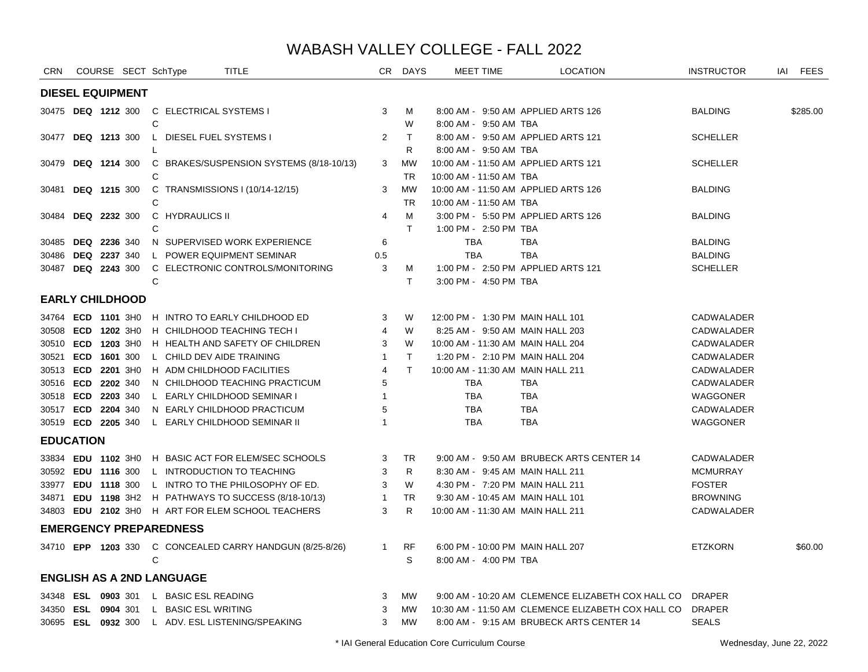| CRN              |     | COURSE SECT SchType           |   |                                  | <b>TITLE</b>                                             |                | CR DAYS                | <b>MEET TIME</b>                  | <b>LOCATION</b>                                          | <b>INSTRUCTOR</b> | IAI FEES |
|------------------|-----|-------------------------------|---|----------------------------------|----------------------------------------------------------|----------------|------------------------|-----------------------------------|----------------------------------------------------------|-------------------|----------|
|                  |     | <b>DIESEL EQUIPMENT</b>       |   |                                  |                                                          |                |                        |                                   |                                                          |                   |          |
|                  |     | 30475 <b>DEQ 1212</b> 300     | C | C ELECTRICAL SYSTEMS I           |                                                          | 3              | м<br>W                 | 8:00 AM - 9:50 AM TBA             | 8:00 AM - 9:50 AM APPLIED ARTS 126                       | <b>BALDING</b>    | \$285.00 |
|                  |     | 30477 <b>DEQ 1213</b> 300     |   | L DIESEL FUEL SYSTEMS I          |                                                          | 2              | $\top$                 |                                   | 8:00 AM - 9:50 AM APPLIED ARTS 121                       | <b>SCHELLER</b>   |          |
| 30479            |     | <b>DEQ 1214 300</b>           |   |                                  | C BRAKES/SUSPENSION SYSTEMS (8/18-10/13)                 | 3              | R<br>МW                | 8:00 AM - 9:50 AM TBA             | 10:00 AM - 11:50 AM APPLIED ARTS 121                     | <b>SCHELLER</b>   |          |
|                  |     |                               | C |                                  |                                                          |                | <b>TR</b>              | 10:00 AM - 11:50 AM TBA           |                                                          |                   |          |
|                  |     | 30481 DEQ 1215 300            | C |                                  | C TRANSMISSIONS I (10/14-12/15)                          | 3              | <b>MW</b><br><b>TR</b> | 10:00 AM - 11:50 AM TBA           | 10:00 AM - 11:50 AM APPLIED ARTS 126                     | <b>BALDING</b>    |          |
| 30484            |     | <b>DEQ 2232 300</b>           |   | C HYDRAULICS II                  |                                                          | 4              | M                      |                                   | 3:00 PM - 5:50 PM APPLIED ARTS 126                       | <b>BALDING</b>    |          |
|                  |     |                               | C |                                  |                                                          |                | $\mathsf{T}$           | 1:00 PM - 2:50 PM TBA             |                                                          |                   |          |
| 30485            |     | <b>DEQ 2236 340</b>           |   |                                  | N SUPERVISED WORK EXPERIENCE                             | 6              |                        | TBA                               | TBA                                                      | <b>BALDING</b>    |          |
|                  |     | 30486 DEQ 2237 340            |   |                                  | L POWER EQUIPMENT SEMINAR                                | 0.5            |                        | <b>TBA</b>                        | <b>TBA</b>                                               | <b>BALDING</b>    |          |
|                  |     | 30487 <b>DEQ 2243</b> 300     |   |                                  | C ELECTRONIC CONTROLS/MONITORING                         | 3              | М                      |                                   | 1:00 PM - 2:50 PM APPLIED ARTS 121                       | <b>SCHELLER</b>   |          |
|                  |     |                               | C |                                  |                                                          |                | $\mathsf{T}$           | 3:00 PM - 4:50 PM TBA             |                                                          |                   |          |
|                  |     | <b>EARLY CHILDHOOD</b>        |   |                                  |                                                          |                |                        |                                   |                                                          |                   |          |
|                  |     |                               |   |                                  | 34764 ECD 1101 3H0 H INTRO TO EARLY CHILDHOOD ED         | 3              | W                      | 12:00 PM - 1:30 PM MAIN HALL 101  |                                                          | <b>CADWALADER</b> |          |
|                  |     | 30508 ECD 1202 3H0            |   |                                  | H CHILDHOOD TEACHING TECH I                              | $\overline{4}$ | W                      |                                   | 8:25 AM - 9:50 AM MAIN HALL 203                          | CADWALADER        |          |
|                  |     | 30510 ECD 1203 3H0            |   |                                  | H HEALTH AND SAFETY OF CHILDREN                          | 3              | W                      | 10:00 AM - 11:30 AM MAIN HALL 204 |                                                          | <b>CADWALADER</b> |          |
|                  |     | 30521 ECD 1601 300            |   | L CHILD DEV AIDE TRAINING        |                                                          | $\mathbf{1}$   | $\top$                 |                                   | 1:20 PM - 2:10 PM MAIN HALL 204                          | CADWALADER        |          |
|                  |     | 30513 ECD 2201 3H0            |   |                                  | H ADM CHILDHOOD FACILITIES                               | 4              | $\mathsf{T}$           | 10:00 AM - 11:30 AM MAIN HALL 211 |                                                          | CADWALADER        |          |
|                  |     | 30516 ECD 2202 340            |   |                                  | N CHILDHOOD TEACHING PRACTICUM                           | 5              |                        | TBA                               | TBA                                                      | CADWALADER        |          |
|                  |     | 30518 ECD 2203 340            |   |                                  | L EARLY CHILDHOOD SEMINAR I                              | -1             |                        | <b>TBA</b>                        | TBA                                                      | WAGGONER          |          |
|                  |     | 30517 ECD 2204 340            |   |                                  | N EARLY CHILDHOOD PRACTICUM                              | 5              |                        | <b>TBA</b>                        | TBA                                                      | CADWALADER        |          |
|                  |     | 30519 ECD 2205 340            |   |                                  | L EARLY CHILDHOOD SEMINAR II                             |                |                        | <b>TBA</b>                        | <b>TBA</b>                                               | WAGGONER          |          |
| <b>EDUCATION</b> |     |                               |   |                                  |                                                          |                |                        |                                   |                                                          |                   |          |
|                  |     |                               |   |                                  | 33834 EDU 1102 3H0 H BASIC ACT FOR ELEM/SEC SCHOOLS      | 3              | <b>TR</b>              |                                   | 9:00 AM - 9:50 AM BRUBECK ARTS CENTER 14                 | <b>CADWALADER</b> |          |
|                  |     |                               |   |                                  | 30592 EDU 1116 300 L INTRODUCTION TO TEACHING            | 3              | R                      |                                   | 8:30 AM - 9:45 AM MAIN HALL 211                          | <b>MCMURRAY</b>   |          |
|                  |     |                               |   |                                  | 33977 EDU 1118 300 L INTRO TO THE PHILOSOPHY OF ED.      | 3              | W                      |                                   | 4:30 PM - 7:20 PM MAIN HALL 211                          | <b>FOSTER</b>     |          |
|                  |     |                               |   |                                  | 34871 EDU 1198 3H2 H PATHWAYS TO SUCCESS (8/18-10/13)    | $\mathbf{1}$   | <b>TR</b>              |                                   | 9:30 AM - 10:45 AM MAIN HALL 101                         | <b>BROWNING</b>   |          |
|                  |     |                               |   |                                  | 34803 EDU 2102 3H0 H ART FOR ELEM SCHOOL TEACHERS        | 3              | R                      | 10:00 AM - 11:30 AM MAIN HALL 211 |                                                          | <b>CADWALADER</b> |          |
|                  |     | <b>EMERGENCY PREPAREDNESS</b> |   |                                  |                                                          |                |                        |                                   |                                                          |                   |          |
|                  |     |                               |   |                                  | 34710 EPP 1203 330 C CONCEALED CARRY HANDGUN (8/25-8/26) | $\mathbf{1}$   | <b>RF</b>              |                                   | 6:00 PM - 10:00 PM MAIN HALL 207                         | <b>ETZKORN</b>    | \$60.00  |
|                  |     |                               | C |                                  |                                                          |                | S                      | 8:00 AM - 4:00 PM TBA             |                                                          |                   |          |
|                  |     |                               |   | <b>ENGLISH AS A 2ND LANGUAGE</b> |                                                          |                |                        |                                   |                                                          |                   |          |
| 34348            |     | ESL 0903 301                  |   | L BASIC ESL READING              |                                                          | 3              | <b>MW</b>              |                                   | 9:00 AM - 10:20 AM CLEMENCE ELIZABETH COX HALL CO DRAPER |                   |          |
| 34350            | ESL | 0904 301                      |   | L BASIC ESL WRITING              |                                                          | 3              | <b>MW</b>              |                                   | 10:30 AM - 11:50 AM CLEMENCE ELIZABETH COX HALL CO       | <b>DRAPER</b>     |          |
|                  |     |                               |   |                                  | 30695 ESL 0932 300 L ADV. ESL LISTENING/SPEAKING         | 3              | <b>MW</b>              |                                   | 8:00 AM - 9:15 AM BRUBECK ARTS CENTER 14                 | <b>SEALS</b>      |          |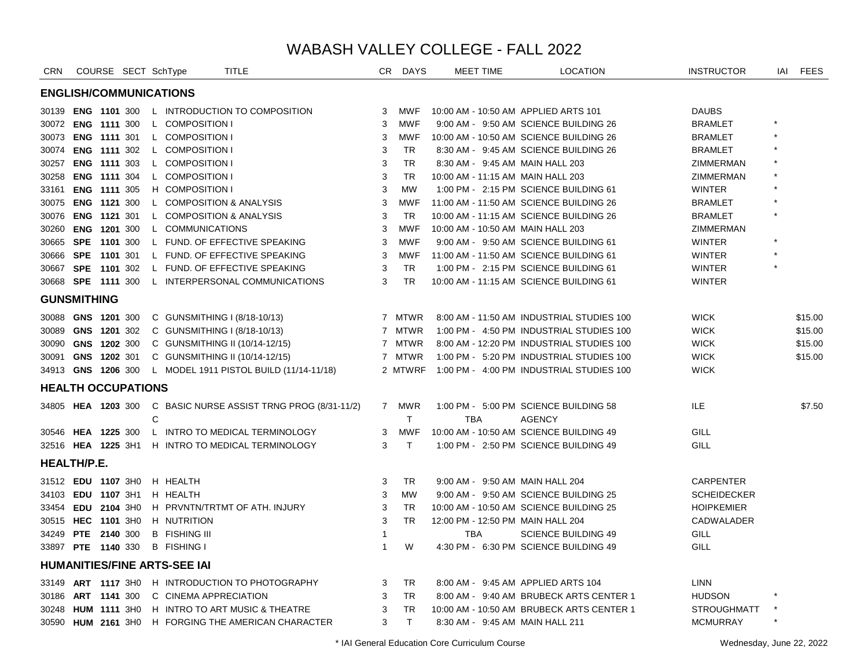| <b>ENGLISH/COMMUNICATIONS</b><br><b>ENG 1101 300</b><br>L INTRODUCTION TO COMPOSITION<br>10:00 AM - 10:50 AM APPLIED ARTS 101<br><b>DAUBS</b><br>30139<br>3<br><b>MWF</b><br>3<br><b>MWF</b><br>9:00 AM - 9:50 AM SCIENCE BUILDING 26<br><b>BRAMLET</b><br>30072 ENG 1111 300<br>L COMPOSITION I<br>L COMPOSITION I<br>10:00 AM - 10:50 AM SCIENCE BUILDING 26<br><b>BRAMLET</b><br>30073 ENG 1111 301<br>3<br>MWF<br>30074 ENG 1111 302<br>L COMPOSITION I<br>8:30 AM - 9:45 AM SCIENCE BUILDING 26<br>3<br>TR<br><b>BRAMLET</b><br>30257 ENG 1111 303<br>L COMPOSITION I<br>3<br>8:30 AM - 9:45 AM MAIN HALL 203<br>TR.<br>ZIMMERMAN<br>ENG 1111 304<br>L COMPOSITION I<br>3<br><b>TR</b><br>10:00 AM - 11:15 AM MAIN HALL 203<br>ZIMMERMAN<br>30258<br><b>ENG 1111 305</b><br>H COMPOSITION I<br>3<br><b>MW</b><br>1:00 PM - 2:15 PM SCIENCE BUILDING 61<br><b>WINTER</b><br>33161<br><b>ENG 1121 300</b><br>L COMPOSITION & ANALYSIS<br>3<br><b>MWF</b><br>11:00 AM - 11:50 AM SCIENCE BUILDING 26<br><b>BRAMLET</b><br>30075<br><b>ENG 1121 301</b><br>L COMPOSITION & ANALYSIS<br>3<br><b>TR</b><br>10:00 AM - 11:15 AM SCIENCE BUILDING 26<br><b>BRAMLET</b><br>30076<br>3<br><b>ENG 1201 300</b><br>L COMMUNICATIONS<br><b>MWF</b><br>10:00 AM - 10:50 AM MAIN HALL 203<br>ZIMMERMAN<br>30260<br><b>WINTER</b><br>SPE 1101 300<br>L FUND. OF EFFECTIVE SPEAKING<br>3<br><b>MWF</b><br>9:00 AM - 9:50 AM SCIENCE BUILDING 61<br>30665<br>30666 SPE 1101 301<br>L FUND. OF EFFECTIVE SPEAKING<br>3<br><b>MWF</b><br>11:00 AM - 11:50 AM SCIENCE BUILDING 61<br><b>WINTER</b><br>L FUND. OF EFFECTIVE SPEAKING<br><b>TR</b><br>1:00 PM - 2:15 PM SCIENCE BUILDING 61<br><b>WINTER</b><br>30667 SPE 1101 302<br>3<br><b>TR</b><br>30668 SPE 1111 300<br>L INTERPERSONAL COMMUNICATIONS<br>3<br>10:00 AM - 11:15 AM SCIENCE BUILDING 61<br><b>WINTER</b><br><b>GUNSMITHING</b><br>30088 GNS 1201 300<br>7 MTWR<br>8:00 AM - 11:50 AM INDUSTRIAL STUDIES 100<br><b>WICK</b><br>C GUNSMITHING I $(8/18-10/13)$<br>1:00 PM - 4:50 PM INDUSTRIAL STUDIES 100<br><b>WICK</b><br>30089 GNS 1201 302<br>C GUNSMITHING I (8/18-10/13)<br>7 MTWR<br>30090 GNS 1202 300<br>8:00 AM - 12:20 PM INDUSTRIAL STUDIES 100<br><b>WICK</b><br>C GUNSMITHING II (10/14-12/15)<br>7 MTWR<br>1:00 PM - 5:20 PM INDUSTRIAL STUDIES 100<br><b>WICK</b><br>30091 GNS 1202 301<br>7 MTWR<br>C GUNSMITHING II (10/14-12/15)<br>1:00 PM - 4:00 PM INDUSTRIAL STUDIES 100<br><b>WICK</b><br>34913 GNS 1206 300<br>L MODEL 1911 PISTOL BUILD (11/14-11/18)<br>2 MTWRF<br><b>HEALTH OCCUPATIONS</b><br><b>ILE</b><br>C BASIC NURSE ASSIST TRNG PROG (8/31-11/2)<br>7 MWR<br>1:00 PM - 5:00 PM SCIENCE BUILDING 58<br>34805 HEA 1203 300<br>$\mathbf C$<br>T.<br><b>TBA</b><br><b>AGENCY</b><br>L INTRO TO MEDICAL TERMINOLOGY<br>10:00 AM - 10:50 AM SCIENCE BUILDING 49<br>GILL<br>30546 HEA 1225 300<br>3<br><b>MWF</b><br>32516 HEA 1225 3H1<br>H INTRO TO MEDICAL TERMINOLOGY<br>3<br>T.<br>1:00 PM - 2:50 PM SCIENCE BUILDING 49<br>GILL<br><b>HEALTH/P.E.</b><br><b>CARPENTER</b><br>31512 EDU 1107 3H0<br>H HEALTH<br>3<br>TR<br>9:00 AM - 9:50 AM MAIN HALL 204<br><b>SCHEIDECKER</b><br>34103 EDU 1107 3H1<br>H HEALTH<br>3<br><b>MW</b><br>9:00 AM - 9:50 AM SCIENCE BUILDING 25<br>H PRVNTN/TRTMT OF ATH. INJURY<br>3<br><b>HOIPKEMIER</b><br>33454 EDU 2104 3H0<br><b>TR</b><br>10:00 AM - 10:50 AM SCIENCE BUILDING 25<br>H NUTRITION<br>3<br><b>TR</b><br>12:00 PM - 12:50 PM MAIN HALL 204<br>CADWALADER<br>30515 HEC 1101 3H0<br>34249 PTE 2140 300 | <b>CRN</b> |  | COURSE SECT SchType |                      | <b>TITLE</b> | CR | <b>DAYS</b> | <b>MEET TIME</b> | <b>LOCATION</b>            | <b>INSTRUCTOR</b> | IAI | <b>FEES</b> |
|-------------------------------------------------------------------------------------------------------------------------------------------------------------------------------------------------------------------------------------------------------------------------------------------------------------------------------------------------------------------------------------------------------------------------------------------------------------------------------------------------------------------------------------------------------------------------------------------------------------------------------------------------------------------------------------------------------------------------------------------------------------------------------------------------------------------------------------------------------------------------------------------------------------------------------------------------------------------------------------------------------------------------------------------------------------------------------------------------------------------------------------------------------------------------------------------------------------------------------------------------------------------------------------------------------------------------------------------------------------------------------------------------------------------------------------------------------------------------------------------------------------------------------------------------------------------------------------------------------------------------------------------------------------------------------------------------------------------------------------------------------------------------------------------------------------------------------------------------------------------------------------------------------------------------------------------------------------------------------------------------------------------------------------------------------------------------------------------------------------------------------------------------------------------------------------------------------------------------------------------------------------------------------------------------------------------------------------------------------------------------------------------------------------------------------------------------------------------------------------------------------------------------------------------------------------------------------------------------------------------------------------------------------------------------------------------------------------------------------------------------------------------------------------------------------------------------------------------------------------------------------------------------------------------------------------------------------------------------------------------------------------------------------------------------------------------------------------------------------------------------------------------------------------------------------------------------------------------------------------------------------------------------------------------------------------------------------------------------------------------------------------------------------------------------------------------------------------------------------------------------------------------------------------------|------------|--|---------------------|----------------------|--------------|----|-------------|------------------|----------------------------|-------------------|-----|-------------|
|                                                                                                                                                                                                                                                                                                                                                                                                                                                                                                                                                                                                                                                                                                                                                                                                                                                                                                                                                                                                                                                                                                                                                                                                                                                                                                                                                                                                                                                                                                                                                                                                                                                                                                                                                                                                                                                                                                                                                                                                                                                                                                                                                                                                                                                                                                                                                                                                                                                                                                                                                                                                                                                                                                                                                                                                                                                                                                                                                                                                                                                                                                                                                                                                                                                                                                                                                                                                                                                                                                                                           |            |  |                     |                      |              |    |             |                  |                            |                   |     |             |
|                                                                                                                                                                                                                                                                                                                                                                                                                                                                                                                                                                                                                                                                                                                                                                                                                                                                                                                                                                                                                                                                                                                                                                                                                                                                                                                                                                                                                                                                                                                                                                                                                                                                                                                                                                                                                                                                                                                                                                                                                                                                                                                                                                                                                                                                                                                                                                                                                                                                                                                                                                                                                                                                                                                                                                                                                                                                                                                                                                                                                                                                                                                                                                                                                                                                                                                                                                                                                                                                                                                                           |            |  |                     |                      |              |    |             |                  |                            |                   |     |             |
|                                                                                                                                                                                                                                                                                                                                                                                                                                                                                                                                                                                                                                                                                                                                                                                                                                                                                                                                                                                                                                                                                                                                                                                                                                                                                                                                                                                                                                                                                                                                                                                                                                                                                                                                                                                                                                                                                                                                                                                                                                                                                                                                                                                                                                                                                                                                                                                                                                                                                                                                                                                                                                                                                                                                                                                                                                                                                                                                                                                                                                                                                                                                                                                                                                                                                                                                                                                                                                                                                                                                           |            |  |                     |                      |              |    |             |                  |                            |                   |     |             |
|                                                                                                                                                                                                                                                                                                                                                                                                                                                                                                                                                                                                                                                                                                                                                                                                                                                                                                                                                                                                                                                                                                                                                                                                                                                                                                                                                                                                                                                                                                                                                                                                                                                                                                                                                                                                                                                                                                                                                                                                                                                                                                                                                                                                                                                                                                                                                                                                                                                                                                                                                                                                                                                                                                                                                                                                                                                                                                                                                                                                                                                                                                                                                                                                                                                                                                                                                                                                                                                                                                                                           |            |  |                     |                      |              |    |             |                  |                            |                   |     |             |
|                                                                                                                                                                                                                                                                                                                                                                                                                                                                                                                                                                                                                                                                                                                                                                                                                                                                                                                                                                                                                                                                                                                                                                                                                                                                                                                                                                                                                                                                                                                                                                                                                                                                                                                                                                                                                                                                                                                                                                                                                                                                                                                                                                                                                                                                                                                                                                                                                                                                                                                                                                                                                                                                                                                                                                                                                                                                                                                                                                                                                                                                                                                                                                                                                                                                                                                                                                                                                                                                                                                                           |            |  |                     |                      |              |    |             |                  |                            |                   |     |             |
|                                                                                                                                                                                                                                                                                                                                                                                                                                                                                                                                                                                                                                                                                                                                                                                                                                                                                                                                                                                                                                                                                                                                                                                                                                                                                                                                                                                                                                                                                                                                                                                                                                                                                                                                                                                                                                                                                                                                                                                                                                                                                                                                                                                                                                                                                                                                                                                                                                                                                                                                                                                                                                                                                                                                                                                                                                                                                                                                                                                                                                                                                                                                                                                                                                                                                                                                                                                                                                                                                                                                           |            |  |                     |                      |              |    |             |                  |                            |                   |     |             |
|                                                                                                                                                                                                                                                                                                                                                                                                                                                                                                                                                                                                                                                                                                                                                                                                                                                                                                                                                                                                                                                                                                                                                                                                                                                                                                                                                                                                                                                                                                                                                                                                                                                                                                                                                                                                                                                                                                                                                                                                                                                                                                                                                                                                                                                                                                                                                                                                                                                                                                                                                                                                                                                                                                                                                                                                                                                                                                                                                                                                                                                                                                                                                                                                                                                                                                                                                                                                                                                                                                                                           |            |  |                     |                      |              |    |             |                  |                            |                   |     |             |
|                                                                                                                                                                                                                                                                                                                                                                                                                                                                                                                                                                                                                                                                                                                                                                                                                                                                                                                                                                                                                                                                                                                                                                                                                                                                                                                                                                                                                                                                                                                                                                                                                                                                                                                                                                                                                                                                                                                                                                                                                                                                                                                                                                                                                                                                                                                                                                                                                                                                                                                                                                                                                                                                                                                                                                                                                                                                                                                                                                                                                                                                                                                                                                                                                                                                                                                                                                                                                                                                                                                                           |            |  |                     |                      |              |    |             |                  |                            |                   |     |             |
|                                                                                                                                                                                                                                                                                                                                                                                                                                                                                                                                                                                                                                                                                                                                                                                                                                                                                                                                                                                                                                                                                                                                                                                                                                                                                                                                                                                                                                                                                                                                                                                                                                                                                                                                                                                                                                                                                                                                                                                                                                                                                                                                                                                                                                                                                                                                                                                                                                                                                                                                                                                                                                                                                                                                                                                                                                                                                                                                                                                                                                                                                                                                                                                                                                                                                                                                                                                                                                                                                                                                           |            |  |                     |                      |              |    |             |                  |                            |                   |     |             |
|                                                                                                                                                                                                                                                                                                                                                                                                                                                                                                                                                                                                                                                                                                                                                                                                                                                                                                                                                                                                                                                                                                                                                                                                                                                                                                                                                                                                                                                                                                                                                                                                                                                                                                                                                                                                                                                                                                                                                                                                                                                                                                                                                                                                                                                                                                                                                                                                                                                                                                                                                                                                                                                                                                                                                                                                                                                                                                                                                                                                                                                                                                                                                                                                                                                                                                                                                                                                                                                                                                                                           |            |  |                     |                      |              |    |             |                  |                            |                   |     |             |
|                                                                                                                                                                                                                                                                                                                                                                                                                                                                                                                                                                                                                                                                                                                                                                                                                                                                                                                                                                                                                                                                                                                                                                                                                                                                                                                                                                                                                                                                                                                                                                                                                                                                                                                                                                                                                                                                                                                                                                                                                                                                                                                                                                                                                                                                                                                                                                                                                                                                                                                                                                                                                                                                                                                                                                                                                                                                                                                                                                                                                                                                                                                                                                                                                                                                                                                                                                                                                                                                                                                                           |            |  |                     |                      |              |    |             |                  |                            |                   |     |             |
|                                                                                                                                                                                                                                                                                                                                                                                                                                                                                                                                                                                                                                                                                                                                                                                                                                                                                                                                                                                                                                                                                                                                                                                                                                                                                                                                                                                                                                                                                                                                                                                                                                                                                                                                                                                                                                                                                                                                                                                                                                                                                                                                                                                                                                                                                                                                                                                                                                                                                                                                                                                                                                                                                                                                                                                                                                                                                                                                                                                                                                                                                                                                                                                                                                                                                                                                                                                                                                                                                                                                           |            |  |                     |                      |              |    |             |                  |                            |                   |     |             |
|                                                                                                                                                                                                                                                                                                                                                                                                                                                                                                                                                                                                                                                                                                                                                                                                                                                                                                                                                                                                                                                                                                                                                                                                                                                                                                                                                                                                                                                                                                                                                                                                                                                                                                                                                                                                                                                                                                                                                                                                                                                                                                                                                                                                                                                                                                                                                                                                                                                                                                                                                                                                                                                                                                                                                                                                                                                                                                                                                                                                                                                                                                                                                                                                                                                                                                                                                                                                                                                                                                                                           |            |  |                     |                      |              |    |             |                  |                            |                   |     |             |
|                                                                                                                                                                                                                                                                                                                                                                                                                                                                                                                                                                                                                                                                                                                                                                                                                                                                                                                                                                                                                                                                                                                                                                                                                                                                                                                                                                                                                                                                                                                                                                                                                                                                                                                                                                                                                                                                                                                                                                                                                                                                                                                                                                                                                                                                                                                                                                                                                                                                                                                                                                                                                                                                                                                                                                                                                                                                                                                                                                                                                                                                                                                                                                                                                                                                                                                                                                                                                                                                                                                                           |            |  |                     |                      |              |    |             |                  |                            |                   |     |             |
|                                                                                                                                                                                                                                                                                                                                                                                                                                                                                                                                                                                                                                                                                                                                                                                                                                                                                                                                                                                                                                                                                                                                                                                                                                                                                                                                                                                                                                                                                                                                                                                                                                                                                                                                                                                                                                                                                                                                                                                                                                                                                                                                                                                                                                                                                                                                                                                                                                                                                                                                                                                                                                                                                                                                                                                                                                                                                                                                                                                                                                                                                                                                                                                                                                                                                                                                                                                                                                                                                                                                           |            |  |                     |                      |              |    |             |                  |                            |                   |     |             |
|                                                                                                                                                                                                                                                                                                                                                                                                                                                                                                                                                                                                                                                                                                                                                                                                                                                                                                                                                                                                                                                                                                                                                                                                                                                                                                                                                                                                                                                                                                                                                                                                                                                                                                                                                                                                                                                                                                                                                                                                                                                                                                                                                                                                                                                                                                                                                                                                                                                                                                                                                                                                                                                                                                                                                                                                                                                                                                                                                                                                                                                                                                                                                                                                                                                                                                                                                                                                                                                                                                                                           |            |  |                     |                      |              |    |             |                  |                            |                   |     |             |
|                                                                                                                                                                                                                                                                                                                                                                                                                                                                                                                                                                                                                                                                                                                                                                                                                                                                                                                                                                                                                                                                                                                                                                                                                                                                                                                                                                                                                                                                                                                                                                                                                                                                                                                                                                                                                                                                                                                                                                                                                                                                                                                                                                                                                                                                                                                                                                                                                                                                                                                                                                                                                                                                                                                                                                                                                                                                                                                                                                                                                                                                                                                                                                                                                                                                                                                                                                                                                                                                                                                                           |            |  |                     |                      |              |    |             |                  |                            |                   |     | \$15.00     |
|                                                                                                                                                                                                                                                                                                                                                                                                                                                                                                                                                                                                                                                                                                                                                                                                                                                                                                                                                                                                                                                                                                                                                                                                                                                                                                                                                                                                                                                                                                                                                                                                                                                                                                                                                                                                                                                                                                                                                                                                                                                                                                                                                                                                                                                                                                                                                                                                                                                                                                                                                                                                                                                                                                                                                                                                                                                                                                                                                                                                                                                                                                                                                                                                                                                                                                                                                                                                                                                                                                                                           |            |  |                     |                      |              |    |             |                  |                            |                   |     | \$15.00     |
|                                                                                                                                                                                                                                                                                                                                                                                                                                                                                                                                                                                                                                                                                                                                                                                                                                                                                                                                                                                                                                                                                                                                                                                                                                                                                                                                                                                                                                                                                                                                                                                                                                                                                                                                                                                                                                                                                                                                                                                                                                                                                                                                                                                                                                                                                                                                                                                                                                                                                                                                                                                                                                                                                                                                                                                                                                                                                                                                                                                                                                                                                                                                                                                                                                                                                                                                                                                                                                                                                                                                           |            |  |                     |                      |              |    |             |                  |                            |                   |     | \$15.00     |
|                                                                                                                                                                                                                                                                                                                                                                                                                                                                                                                                                                                                                                                                                                                                                                                                                                                                                                                                                                                                                                                                                                                                                                                                                                                                                                                                                                                                                                                                                                                                                                                                                                                                                                                                                                                                                                                                                                                                                                                                                                                                                                                                                                                                                                                                                                                                                                                                                                                                                                                                                                                                                                                                                                                                                                                                                                                                                                                                                                                                                                                                                                                                                                                                                                                                                                                                                                                                                                                                                                                                           |            |  |                     |                      |              |    |             |                  |                            |                   |     | \$15.00     |
|                                                                                                                                                                                                                                                                                                                                                                                                                                                                                                                                                                                                                                                                                                                                                                                                                                                                                                                                                                                                                                                                                                                                                                                                                                                                                                                                                                                                                                                                                                                                                                                                                                                                                                                                                                                                                                                                                                                                                                                                                                                                                                                                                                                                                                                                                                                                                                                                                                                                                                                                                                                                                                                                                                                                                                                                                                                                                                                                                                                                                                                                                                                                                                                                                                                                                                                                                                                                                                                                                                                                           |            |  |                     |                      |              |    |             |                  |                            |                   |     |             |
|                                                                                                                                                                                                                                                                                                                                                                                                                                                                                                                                                                                                                                                                                                                                                                                                                                                                                                                                                                                                                                                                                                                                                                                                                                                                                                                                                                                                                                                                                                                                                                                                                                                                                                                                                                                                                                                                                                                                                                                                                                                                                                                                                                                                                                                                                                                                                                                                                                                                                                                                                                                                                                                                                                                                                                                                                                                                                                                                                                                                                                                                                                                                                                                                                                                                                                                                                                                                                                                                                                                                           |            |  |                     |                      |              |    |             |                  |                            |                   |     |             |
|                                                                                                                                                                                                                                                                                                                                                                                                                                                                                                                                                                                                                                                                                                                                                                                                                                                                                                                                                                                                                                                                                                                                                                                                                                                                                                                                                                                                                                                                                                                                                                                                                                                                                                                                                                                                                                                                                                                                                                                                                                                                                                                                                                                                                                                                                                                                                                                                                                                                                                                                                                                                                                                                                                                                                                                                                                                                                                                                                                                                                                                                                                                                                                                                                                                                                                                                                                                                                                                                                                                                           |            |  |                     |                      |              |    |             |                  |                            |                   |     | \$7.50      |
|                                                                                                                                                                                                                                                                                                                                                                                                                                                                                                                                                                                                                                                                                                                                                                                                                                                                                                                                                                                                                                                                                                                                                                                                                                                                                                                                                                                                                                                                                                                                                                                                                                                                                                                                                                                                                                                                                                                                                                                                                                                                                                                                                                                                                                                                                                                                                                                                                                                                                                                                                                                                                                                                                                                                                                                                                                                                                                                                                                                                                                                                                                                                                                                                                                                                                                                                                                                                                                                                                                                                           |            |  |                     |                      |              |    |             |                  |                            |                   |     |             |
|                                                                                                                                                                                                                                                                                                                                                                                                                                                                                                                                                                                                                                                                                                                                                                                                                                                                                                                                                                                                                                                                                                                                                                                                                                                                                                                                                                                                                                                                                                                                                                                                                                                                                                                                                                                                                                                                                                                                                                                                                                                                                                                                                                                                                                                                                                                                                                                                                                                                                                                                                                                                                                                                                                                                                                                                                                                                                                                                                                                                                                                                                                                                                                                                                                                                                                                                                                                                                                                                                                                                           |            |  |                     |                      |              |    |             |                  |                            |                   |     |             |
|                                                                                                                                                                                                                                                                                                                                                                                                                                                                                                                                                                                                                                                                                                                                                                                                                                                                                                                                                                                                                                                                                                                                                                                                                                                                                                                                                                                                                                                                                                                                                                                                                                                                                                                                                                                                                                                                                                                                                                                                                                                                                                                                                                                                                                                                                                                                                                                                                                                                                                                                                                                                                                                                                                                                                                                                                                                                                                                                                                                                                                                                                                                                                                                                                                                                                                                                                                                                                                                                                                                                           |            |  |                     |                      |              |    |             |                  |                            |                   |     |             |
|                                                                                                                                                                                                                                                                                                                                                                                                                                                                                                                                                                                                                                                                                                                                                                                                                                                                                                                                                                                                                                                                                                                                                                                                                                                                                                                                                                                                                                                                                                                                                                                                                                                                                                                                                                                                                                                                                                                                                                                                                                                                                                                                                                                                                                                                                                                                                                                                                                                                                                                                                                                                                                                                                                                                                                                                                                                                                                                                                                                                                                                                                                                                                                                                                                                                                                                                                                                                                                                                                                                                           |            |  |                     |                      |              |    |             |                  |                            |                   |     |             |
|                                                                                                                                                                                                                                                                                                                                                                                                                                                                                                                                                                                                                                                                                                                                                                                                                                                                                                                                                                                                                                                                                                                                                                                                                                                                                                                                                                                                                                                                                                                                                                                                                                                                                                                                                                                                                                                                                                                                                                                                                                                                                                                                                                                                                                                                                                                                                                                                                                                                                                                                                                                                                                                                                                                                                                                                                                                                                                                                                                                                                                                                                                                                                                                                                                                                                                                                                                                                                                                                                                                                           |            |  |                     |                      |              |    |             |                  |                            |                   |     |             |
|                                                                                                                                                                                                                                                                                                                                                                                                                                                                                                                                                                                                                                                                                                                                                                                                                                                                                                                                                                                                                                                                                                                                                                                                                                                                                                                                                                                                                                                                                                                                                                                                                                                                                                                                                                                                                                                                                                                                                                                                                                                                                                                                                                                                                                                                                                                                                                                                                                                                                                                                                                                                                                                                                                                                                                                                                                                                                                                                                                                                                                                                                                                                                                                                                                                                                                                                                                                                                                                                                                                                           |            |  |                     |                      |              |    |             |                  |                            |                   |     |             |
|                                                                                                                                                                                                                                                                                                                                                                                                                                                                                                                                                                                                                                                                                                                                                                                                                                                                                                                                                                                                                                                                                                                                                                                                                                                                                                                                                                                                                                                                                                                                                                                                                                                                                                                                                                                                                                                                                                                                                                                                                                                                                                                                                                                                                                                                                                                                                                                                                                                                                                                                                                                                                                                                                                                                                                                                                                                                                                                                                                                                                                                                                                                                                                                                                                                                                                                                                                                                                                                                                                                                           |            |  |                     |                      |              |    |             |                  |                            |                   |     |             |
|                                                                                                                                                                                                                                                                                                                                                                                                                                                                                                                                                                                                                                                                                                                                                                                                                                                                                                                                                                                                                                                                                                                                                                                                                                                                                                                                                                                                                                                                                                                                                                                                                                                                                                                                                                                                                                                                                                                                                                                                                                                                                                                                                                                                                                                                                                                                                                                                                                                                                                                                                                                                                                                                                                                                                                                                                                                                                                                                                                                                                                                                                                                                                                                                                                                                                                                                                                                                                                                                                                                                           |            |  |                     |                      |              |    |             |                  |                            |                   |     |             |
|                                                                                                                                                                                                                                                                                                                                                                                                                                                                                                                                                                                                                                                                                                                                                                                                                                                                                                                                                                                                                                                                                                                                                                                                                                                                                                                                                                                                                                                                                                                                                                                                                                                                                                                                                                                                                                                                                                                                                                                                                                                                                                                                                                                                                                                                                                                                                                                                                                                                                                                                                                                                                                                                                                                                                                                                                                                                                                                                                                                                                                                                                                                                                                                                                                                                                                                                                                                                                                                                                                                                           |            |  |                     | <b>B</b> FISHING III |              | 1  |             | <b>TBA</b>       | <b>SCIENCE BUILDING 49</b> | GILL              |     |             |
| W<br>4:30 PM - 6:30 PM SCIENCE BUILDING 49<br>GILL<br>33897 PTE 1140 330<br><b>B</b> FISHING I<br>$\mathbf{1}$                                                                                                                                                                                                                                                                                                                                                                                                                                                                                                                                                                                                                                                                                                                                                                                                                                                                                                                                                                                                                                                                                                                                                                                                                                                                                                                                                                                                                                                                                                                                                                                                                                                                                                                                                                                                                                                                                                                                                                                                                                                                                                                                                                                                                                                                                                                                                                                                                                                                                                                                                                                                                                                                                                                                                                                                                                                                                                                                                                                                                                                                                                                                                                                                                                                                                                                                                                                                                            |            |  |                     |                      |              |    |             |                  |                            |                   |     |             |
| <b>HUMANITIES/FINE ARTS-SEE IAI</b>                                                                                                                                                                                                                                                                                                                                                                                                                                                                                                                                                                                                                                                                                                                                                                                                                                                                                                                                                                                                                                                                                                                                                                                                                                                                                                                                                                                                                                                                                                                                                                                                                                                                                                                                                                                                                                                                                                                                                                                                                                                                                                                                                                                                                                                                                                                                                                                                                                                                                                                                                                                                                                                                                                                                                                                                                                                                                                                                                                                                                                                                                                                                                                                                                                                                                                                                                                                                                                                                                                       |            |  |                     |                      |              |    |             |                  |                            |                   |     |             |
| <b>TR</b><br>8:00 AM - 9:45 AM APPLIED ARTS 104<br><b>LINN</b><br>H INTRODUCTION TO PHOTOGRAPHY<br>3<br>33149 <b>ART 1117</b> 3H0                                                                                                                                                                                                                                                                                                                                                                                                                                                                                                                                                                                                                                                                                                                                                                                                                                                                                                                                                                                                                                                                                                                                                                                                                                                                                                                                                                                                                                                                                                                                                                                                                                                                                                                                                                                                                                                                                                                                                                                                                                                                                                                                                                                                                                                                                                                                                                                                                                                                                                                                                                                                                                                                                                                                                                                                                                                                                                                                                                                                                                                                                                                                                                                                                                                                                                                                                                                                         |            |  |                     |                      |              |    |             |                  |                            |                   |     |             |
| C CINEMA APPRECIATION<br>8:00 AM - 9:40 AM BRUBECK ARTS CENTER 1<br>ART 1141 300<br>3<br><b>TR</b><br><b>HUDSON</b><br>30186                                                                                                                                                                                                                                                                                                                                                                                                                                                                                                                                                                                                                                                                                                                                                                                                                                                                                                                                                                                                                                                                                                                                                                                                                                                                                                                                                                                                                                                                                                                                                                                                                                                                                                                                                                                                                                                                                                                                                                                                                                                                                                                                                                                                                                                                                                                                                                                                                                                                                                                                                                                                                                                                                                                                                                                                                                                                                                                                                                                                                                                                                                                                                                                                                                                                                                                                                                                                              |            |  |                     |                      |              |    |             |                  |                            |                   |     |             |
| <b>TR</b><br>10:00 AM - 10:50 AM BRUBECK ARTS CENTER 1<br><b>STROUGHMATT</b><br><b>HUM 1111 3H0</b><br>H INTRO TO ART MUSIC & THEATRE<br>3<br>30248                                                                                                                                                                                                                                                                                                                                                                                                                                                                                                                                                                                                                                                                                                                                                                                                                                                                                                                                                                                                                                                                                                                                                                                                                                                                                                                                                                                                                                                                                                                                                                                                                                                                                                                                                                                                                                                                                                                                                                                                                                                                                                                                                                                                                                                                                                                                                                                                                                                                                                                                                                                                                                                                                                                                                                                                                                                                                                                                                                                                                                                                                                                                                                                                                                                                                                                                                                                       |            |  |                     |                      |              |    |             |                  |                            |                   |     |             |
| T<br>30590 HUM 2161 3H0<br>H FORGING THE AMERICAN CHARACTER<br>3<br><b>MCMURRAY</b><br>8:30 AM - 9:45 AM MAIN HALL 211                                                                                                                                                                                                                                                                                                                                                                                                                                                                                                                                                                                                                                                                                                                                                                                                                                                                                                                                                                                                                                                                                                                                                                                                                                                                                                                                                                                                                                                                                                                                                                                                                                                                                                                                                                                                                                                                                                                                                                                                                                                                                                                                                                                                                                                                                                                                                                                                                                                                                                                                                                                                                                                                                                                                                                                                                                                                                                                                                                                                                                                                                                                                                                                                                                                                                                                                                                                                                    |            |  |                     |                      |              |    |             |                  |                            |                   |     |             |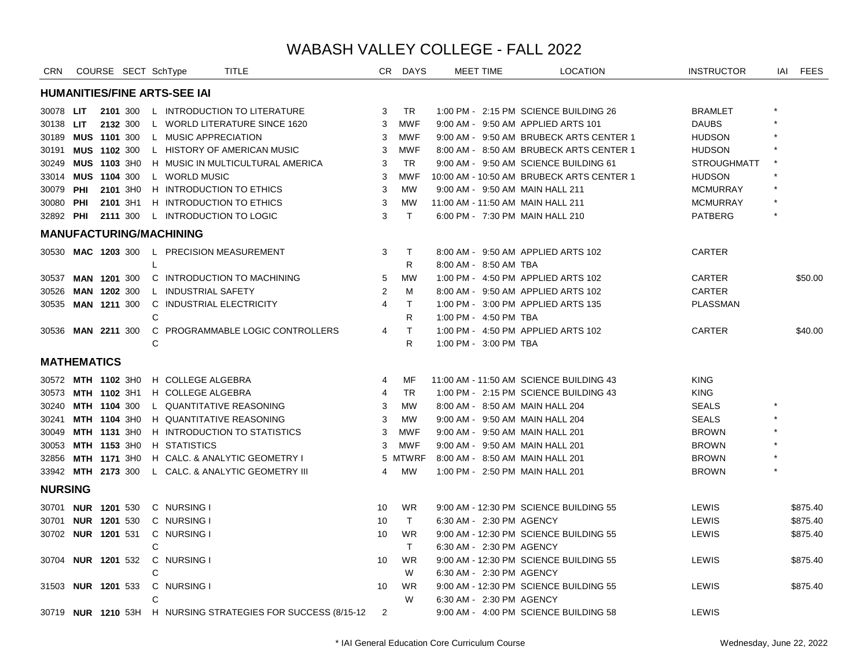| <b>CRN</b>         | COURSE SECT SchType                 |   |                      | <b>TITLE</b>                                                 |    | CR DAYS      | MEET TIME             | <b>LOCATION</b>                           | <b>INSTRUCTOR</b>  | IAI | <b>FEES</b> |
|--------------------|-------------------------------------|---|----------------------|--------------------------------------------------------------|----|--------------|-----------------------|-------------------------------------------|--------------------|-----|-------------|
|                    | <b>HUMANITIES/FINE ARTS-SEE IAI</b> |   |                      |                                                              |    |              |                       |                                           |                    |     |             |
| 30078 LIT          | 2101 300                            |   |                      | L INTRODUCTION TO LITERATURE                                 | 3  | TR           |                       | 1:00 PM - 2:15 PM SCIENCE BUILDING 26     | <b>BRAMLET</b>     |     |             |
| 30138 LIT          | 2132 300                            |   |                      | L WORLD LITERATURE SINCE 1620                                | 3  | <b>MWF</b>   |                       | 9:00 AM - 9:50 AM APPLIED ARTS 101        | <b>DAUBS</b>       |     |             |
| 30189              | <b>MUS 1101 300</b>                 |   | L MUSIC APPRECIATION |                                                              | 3  | <b>MWF</b>   |                       | 9:00 AM - 9:50 AM BRUBECK ARTS CENTER 1   | <b>HUDSON</b>      |     |             |
| 30191              | MUS 1102 300                        |   |                      | L HISTORY OF AMERICAN MUSIC                                  | 3  | <b>MWF</b>   |                       | 8:00 AM - 8:50 AM BRUBECK ARTS CENTER 1   | <b>HUDSON</b>      |     |             |
| 30249              | MUS 1103 3H0                        |   |                      | H MUSIC IN MULTICULTURAL AMERICA                             | 3  | TR.          |                       | 9:00 AM - 9:50 AM SCIENCE BUILDING 61     | <b>STROUGHMATT</b> |     |             |
|                    | 33014 MUS 1104 300                  |   | L WORLD MUSIC        |                                                              | 3  | <b>MWF</b>   |                       | 10:00 AM - 10:50 AM BRUBECK ARTS CENTER 1 | <b>HUDSON</b>      |     |             |
| 30079 PHI          | 2101 3H0                            |   |                      | H INTRODUCTION TO ETHICS                                     | 3  | <b>MW</b>    |                       | 9:00 AM - 9:50 AM MAIN HALL 211           | <b>MCMURRAY</b>    |     |             |
| 30080 PHI          | 2101 3H1                            |   |                      | H INTRODUCTION TO ETHICS                                     | 3  | <b>MW</b>    |                       | 11:00 AM - 11:50 AM MAIN HALL 211         | <b>MCMURRAY</b>    |     |             |
| 32892 PHI          | 2111 300                            |   |                      | L INTRODUCTION TO LOGIC                                      | 3  | $\top$       |                       | 6:00 PM - 7:30 PM MAIN HALL 210           | <b>PATBERG</b>     |     |             |
|                    | <b>MANUFACTURING/MACHINING</b>      |   |                      |                                                              |    |              |                       |                                           |                    |     |             |
|                    |                                     |   |                      | 30530 MAC 1203 300 L PRECISION MEASUREMENT                   | 3  | $\mathsf{T}$ |                       | 8:00 AM - 9:50 AM APPLIED ARTS 102        | CARTER             |     |             |
|                    |                                     |   |                      |                                                              |    | R.           | 8:00 AM - 8:50 AM TBA |                                           |                    |     |             |
| 30537              | <b>MAN 1201 300</b>                 |   |                      | C INTRODUCTION TO MACHINING                                  | 5  | <b>MW</b>    |                       | 1:00 PM - 4:50 PM APPLIED ARTS 102        | CARTER             |     | \$50.00     |
| 30526              | MAN 1202 300                        |   | L INDUSTRIAL SAFETY  |                                                              | 2  | M            |                       | 8:00 AM - 9:50 AM APPLIED ARTS 102        | <b>CARTER</b>      |     |             |
| 30535              | <b>MAN 1211 300</b>                 |   |                      | C INDUSTRIAL ELECTRICITY                                     | 4  | T.           |                       | 1:00 PM - 3:00 PM APPLIED ARTS 135        | <b>PLASSMAN</b>    |     |             |
|                    |                                     | C |                      |                                                              |    | R            | 1:00 PM - 4:50 PM TBA |                                           |                    |     |             |
|                    | 30536 MAN 2211 300                  |   |                      | C PROGRAMMABLE LOGIC CONTROLLERS                             | 4  | T.           |                       | 1:00 PM - 4:50 PM APPLIED ARTS 102        | CARTER             |     | \$40.00     |
|                    |                                     | C |                      |                                                              |    | R            | 1:00 PM - 3:00 PM TBA |                                           |                    |     |             |
| <b>MATHEMATICS</b> |                                     |   |                      |                                                              |    |              |                       |                                           |                    |     |             |
|                    | 30572 MTH 1102 3H0                  |   | H COLLEGE ALGEBRA    |                                                              | 4  | MF           |                       | 11:00 AM - 11:50 AM SCIENCE BUILDING 43   | <b>KING</b>        |     |             |
|                    | 30573 MTH 1102 3H1                  |   | H COLLEGE ALGEBRA    |                                                              | 4  | TR.          |                       | 1:00 PM - 2:15 PM SCIENCE BUILDING 43     | <b>KING</b>        |     |             |
|                    | 30240 MTH 1104 300                  |   |                      | L QUANTITATIVE REASONING                                     | 3  | <b>MW</b>    |                       | 8:00 AM - 8:50 AM MAIN HALL 204           | <b>SEALS</b>       |     |             |
|                    | 30241 MTH 1104 3H0                  |   |                      | H QUANTITATIVE REASONING                                     | 3  | <b>MW</b>    |                       | 9:00 AM - 9:50 AM MAIN HALL 204           | <b>SEALS</b>       |     |             |
|                    | 30049 MTH 1131 3H0                  |   |                      | H INTRODUCTION TO STATISTICS                                 | 3  | <b>MWF</b>   |                       | 9:00 AM - 9:50 AM MAIN HALL 201           | <b>BROWN</b>       |     |             |
|                    | 30053 MTH 1153 3H0                  |   | H STATISTICS         |                                                              | 3  | <b>MWF</b>   |                       | 9:00 AM - 9:50 AM MAIN HALL 201           | <b>BROWN</b>       |     |             |
|                    | 32856 MTH 1171 3H0                  |   |                      | H CALC. & ANALYTIC GEOMETRY I                                |    | 5 MTWRF      |                       | 8:00 AM - 8:50 AM MAIN HALL 201           | <b>BROWN</b>       |     |             |
|                    | 33942 MTH 2173 300                  |   |                      | L CALC. & ANALYTIC GEOMETRY III                              | 4  | <b>MW</b>    |                       | 1:00 PM - 2:50 PM MAIN HALL 201           | <b>BROWN</b>       |     |             |
| <b>NURSING</b>     |                                     |   |                      |                                                              |    |              |                       |                                           |                    |     |             |
|                    | 30701 <b>NUR 1201</b> 530           |   | C NURSING I          |                                                              | 10 | <b>WR</b>    |                       | 9:00 AM - 12:30 PM SCIENCE BUILDING 55    | LEWIS              |     | \$875.40    |
|                    | 30701 <b>NUR 1201</b> 530           |   | C NURSING I          |                                                              | 10 | $\top$       |                       | 6:30 AM - 2:30 PM AGENCY                  | LEWIS              |     | \$875.40    |
|                    | 30702 NUR 1201 531                  |   | C NURSING I          |                                                              | 10 | <b>WR</b>    |                       | 9:00 AM - 12:30 PM SCIENCE BUILDING 55    | LEWIS              |     | \$875.40    |
|                    |                                     | С |                      |                                                              |    | Τ            |                       | 6:30 AM - 2:30 PM AGENCY                  |                    |     |             |
| 30704              | <b>NUR 1201 532</b>                 |   | C NURSING I          |                                                              | 10 | <b>WR</b>    |                       | 9:00 AM - 12:30 PM SCIENCE BUILDING 55    | LEWIS              |     | \$875.40    |
|                    |                                     | C |                      |                                                              |    | W            |                       | 6:30 AM - 2:30 PM AGENCY                  |                    |     |             |
| 31503              | <b>NUR 1201 533</b>                 |   | C NURSING I          |                                                              | 10 | WR           |                       | 9:00 AM - 12:30 PM SCIENCE BUILDING 55    | LEWIS              |     | \$875.40    |
|                    |                                     | С |                      |                                                              |    | W            |                       | 6:30 AM - 2:30 PM AGENCY                  |                    |     |             |
|                    |                                     |   |                      | 30719 NUR 1210 53H H NURSING STRATEGIES FOR SUCCESS (8/15-12 | 2  |              |                       | 9:00 AM - 4:00 PM SCIENCE BUILDING 58     | LEWIS              |     |             |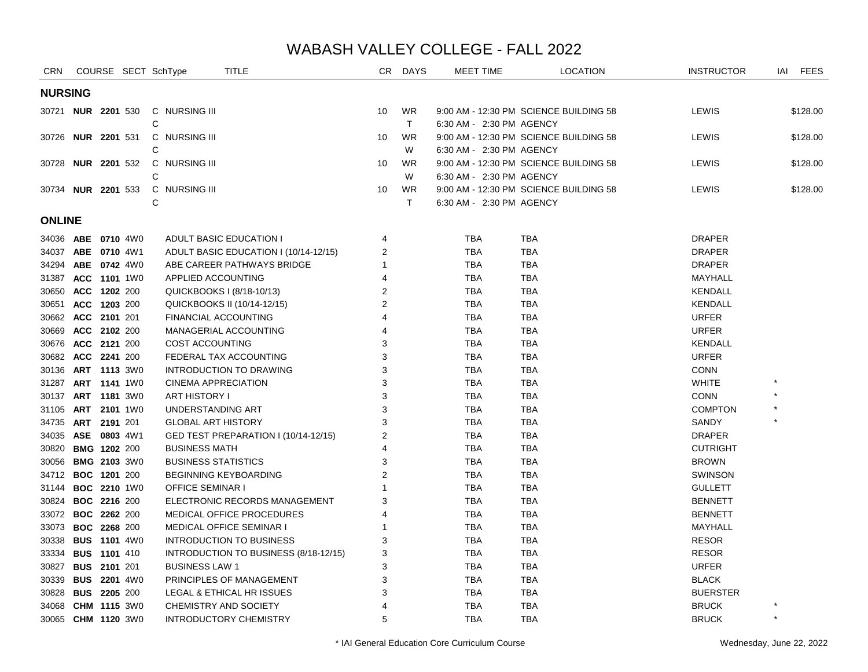| <b>CRN</b>                |                     |  | COURSE SECT SchType       | <b>TITLE</b>                          | CR .           | <b>DAYS</b> | MEET TIME                | <b>LOCATION</b>                        | <b>INSTRUCTOR</b> | <b>FEES</b><br>IAI |
|---------------------------|---------------------|--|---------------------------|---------------------------------------|----------------|-------------|--------------------------|----------------------------------------|-------------------|--------------------|
| <b>NURSING</b>            |                     |  |                           |                                       |                |             |                          |                                        |                   |                    |
| 30721 <b>NUR 2201</b> 530 |                     |  | C NURSING III             |                                       | 10             | <b>WR</b>   |                          | 9:00 AM - 12:30 PM SCIENCE BUILDING 58 | LEWIS             | \$128.00           |
|                           |                     |  | C                         |                                       |                | T           | 6:30 AM - 2:30 PM AGENCY |                                        |                   |                    |
| 30726                     | <b>NUR 2201 531</b> |  | C NURSING III             |                                       | 10             | <b>WR</b>   |                          | 9:00 AM - 12:30 PM SCIENCE BUILDING 58 | LEWIS             | \$128.00           |
|                           |                     |  | C                         |                                       |                | W           | 6:30 AM - 2:30 PM AGENCY |                                        |                   |                    |
| 30728 <b>NUR 2201</b> 532 |                     |  | C NURSING III             |                                       | 10             | <b>WR</b>   |                          | 9:00 AM - 12:30 PM SCIENCE BUILDING 58 | <b>LEWIS</b>      | \$128.00           |
|                           |                     |  | C                         |                                       |                | W           | 6:30 AM - 2:30 PM AGENCY |                                        |                   |                    |
| 30734 NUR 2201 533        |                     |  | C NURSING III             |                                       | 10             | <b>WR</b>   |                          | 9:00 AM - 12:30 PM SCIENCE BUILDING 58 | LEWIS             | \$128.00           |
|                           |                     |  | С                         |                                       |                | T.          | 6:30 AM - 2:30 PM AGENCY |                                        |                   |                    |
| <b>ONLINE</b>             |                     |  |                           |                                       |                |             |                          |                                        |                   |                    |
| 34036 ABE 0710 4W0        |                     |  |                           | ADULT BASIC EDUCATION I               | 4              |             | <b>TBA</b>               | <b>TBA</b>                             | <b>DRAPER</b>     |                    |
| 34037 ABE 0710 4W1        |                     |  |                           | ADULT BASIC EDUCATION I (10/14-12/15) | 2              |             | <b>TBA</b>               | <b>TBA</b>                             | <b>DRAPER</b>     |                    |
| 34294 ABE 0742 4W0        |                     |  |                           | ABE CAREER PATHWAYS BRIDGE            | 1              |             | <b>TBA</b>               | <b>TBA</b>                             | <b>DRAPER</b>     |                    |
| 31387 ACC 1101 1W0        |                     |  | APPLIED ACCOUNTING        |                                       | 4              |             | <b>TBA</b>               | <b>TBA</b>                             | MAYHALL           |                    |
| 30650 ACC 1202 200        |                     |  |                           | QUICKBOOKS I (8/18-10/13)             | 2              |             | <b>TBA</b>               | <b>TBA</b>                             | <b>KENDALL</b>    |                    |
| 30651 ACC 1203 200        |                     |  |                           | QUICKBOOKS II (10/14-12/15)           | $\overline{2}$ |             | <b>TBA</b>               | <b>TBA</b>                             | <b>KENDALL</b>    |                    |
| 30662 ACC 2101 201        |                     |  |                           | FINANCIAL ACCOUNTING                  | 4              |             | <b>TBA</b>               | <b>TBA</b>                             | <b>URFER</b>      |                    |
| 30669 ACC 2102 200        |                     |  |                           | MANAGERIAL ACCOUNTING                 | 4              |             | <b>TBA</b>               | <b>TBA</b>                             | <b>URFER</b>      |                    |
| 30676 ACC 2121 200        |                     |  | <b>COST ACCOUNTING</b>    |                                       | 3              |             | <b>TBA</b>               | <b>TBA</b>                             | <b>KENDALL</b>    |                    |
| 30682 ACC 2241 200        |                     |  |                           | FEDERAL TAX ACCOUNTING                | 3              |             | <b>TBA</b>               | <b>TBA</b>                             | <b>URFER</b>      |                    |
| 30136                     | <b>ART 1113 3W0</b> |  |                           | INTRODUCTION TO DRAWING               | 3              |             | <b>TBA</b>               | TBA                                    | <b>CONN</b>       |                    |
| 31287 ART 1141 1W0        |                     |  |                           | CINEMA APPRECIATION                   | 3              |             | <b>TBA</b>               | <b>TBA</b>                             | <b>WHITE</b>      |                    |
| 30137 ART 1181 3W0        |                     |  | ART HISTORY I             |                                       | 3              |             | <b>TBA</b>               | <b>TBA</b>                             | <b>CONN</b>       |                    |
| 31105                     | <b>ART 2101 1W0</b> |  | UNDERSTANDING ART         |                                       | 3              |             | <b>TBA</b>               | <b>TBA</b>                             | <b>COMPTON</b>    |                    |
| 34735 ART 2191 201        |                     |  | <b>GLOBAL ART HISTORY</b> |                                       | 3              |             | <b>TBA</b>               | <b>TBA</b>                             | SANDY             |                    |
| 34035 ASE 0803 4W1        |                     |  |                           | GED TEST PREPARATION I (10/14-12/15)  | 2              |             | <b>TBA</b>               | <b>TBA</b>                             | <b>DRAPER</b>     |                    |
| 30820 BMG 1202 200        |                     |  | <b>BUSINESS MATH</b>      |                                       | 4              |             | <b>TBA</b>               | <b>TBA</b>                             | <b>CUTRIGHT</b>   |                    |
| 30056 BMG 2103 3W0        |                     |  |                           | <b>BUSINESS STATISTICS</b>            | 3              |             | <b>TBA</b>               | <b>TBA</b>                             | <b>BROWN</b>      |                    |
| 34712 <b>BOC 1201</b> 200 |                     |  |                           | <b>BEGINNING KEYBOARDING</b>          | $\overline{2}$ |             | <b>TBA</b>               | <b>TBA</b>                             | <b>SWINSON</b>    |                    |
| 31144 <b>BOC 2210</b> 1W0 |                     |  | <b>OFFICE SEMINAR I</b>   |                                       | 1              |             | <b>TBA</b>               | <b>TBA</b>                             | <b>GULLETT</b>    |                    |
| 30824 BOC 2216 200        |                     |  |                           | ELECTRONIC RECORDS MANAGEMENT         | 3              |             | <b>TBA</b>               | <b>TBA</b>                             | <b>BENNETT</b>    |                    |
| 33072 BOC 2262 200        |                     |  |                           | MEDICAL OFFICE PROCEDURES             | 4              |             | <b>TBA</b>               | <b>TBA</b>                             | <b>BENNETT</b>    |                    |
| 33073 BOC 2268 200        |                     |  |                           | MEDICAL OFFICE SEMINAR I              | 1              |             | <b>TBA</b>               | <b>TBA</b>                             | MAYHALL           |                    |
| 30338 BUS 1101 4W0        |                     |  |                           | <b>INTRODUCTION TO BUSINESS</b>       | 3              |             | <b>TBA</b>               | <b>TBA</b>                             | <b>RESOR</b>      |                    |
| 33334 BUS 1101 410        |                     |  |                           | INTRODUCTION TO BUSINESS (8/18-12/15) | 3              |             | <b>TBA</b>               | <b>TBA</b>                             | <b>RESOR</b>      |                    |
| 30827 BUS 2101 201        |                     |  | <b>BUSINESS LAW 1</b>     |                                       | 3              |             | <b>TBA</b>               | <b>TBA</b>                             | <b>URFER</b>      |                    |
| 30339 BUS 2201 4W0        |                     |  |                           | PRINCIPLES OF MANAGEMENT              | 3              |             | <b>TBA</b>               | <b>TBA</b>                             | <b>BLACK</b>      |                    |
| 30828 BUS 2205 200        |                     |  |                           | LEGAL & ETHICAL HR ISSUES             | 3              |             | <b>TBA</b>               | <b>TBA</b>                             | <b>BUERSTER</b>   |                    |
| 34068                     | <b>CHM 1115 3W0</b> |  |                           | CHEMISTRY AND SOCIETY                 | 4              |             | <b>TBA</b>               | <b>TBA</b>                             | <b>BRUCK</b>      |                    |
| 30065 CHM 1120 3W0        |                     |  |                           | <b>INTRODUCTORY CHEMISTRY</b>         | 5              |             | <b>TBA</b>               | <b>TBA</b>                             | <b>BRUCK</b>      | $\star$            |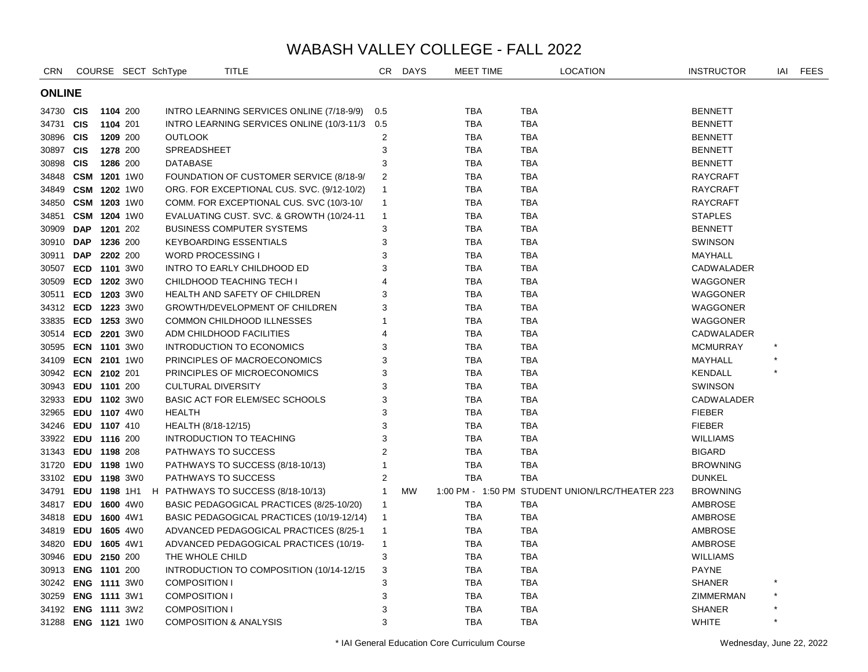| <b>CRN</b>         |              |          | COURSE SECT SchType | TITLE                                         |                | CR DAYS   | MEET TIME  |            | LOCATION                                        | <b>INSTRUCTOR</b> | IAI     | <b>FEES</b> |
|--------------------|--------------|----------|---------------------|-----------------------------------------------|----------------|-----------|------------|------------|-------------------------------------------------|-------------------|---------|-------------|
| <b>ONLINE</b>      |              |          |                     |                                               |                |           |            |            |                                                 |                   |         |             |
| 34730 CIS          |              | 1104 200 |                     | INTRO LEARNING SERVICES ONLINE (7/18-9/9)     | 0.5            |           | <b>TBA</b> | TBA        |                                                 | <b>BENNETT</b>    |         |             |
| 34731 CIS          |              | 1104 201 |                     | INTRO LEARNING SERVICES ONLINE (10/3-11/3 0.5 |                |           | <b>TBA</b> | <b>TBA</b> |                                                 | <b>BENNETT</b>    |         |             |
| 30896 CIS          |              | 1209 200 |                     | <b>OUTLOOK</b>                                | $\overline{c}$ |           | TBA        | TBA        |                                                 | <b>BENNETT</b>    |         |             |
| 30897 CIS          |              | 1278 200 |                     | SPREADSHEET                                   | 3              |           | TBA        | <b>TBA</b> |                                                 | <b>BENNETT</b>    |         |             |
| 30898 CIS          |              | 1286 200 |                     | <b>DATABASE</b>                               | 3              |           | <b>TBA</b> | <b>TBA</b> |                                                 | <b>BENNETT</b>    |         |             |
| 34848 CSM 1201 1W0 |              |          |                     | FOUNDATION OF CUSTOMER SERVICE (8/18-9/       | 2              |           | <b>TBA</b> | <b>TBA</b> |                                                 | <b>RAYCRAFT</b>   |         |             |
| 34849 CSM 1202 1W0 |              |          |                     | ORG. FOR EXCEPTIONAL CUS. SVC. (9/12-10/2)    | $\mathbf{1}$   |           | <b>TBA</b> | <b>TBA</b> |                                                 | <b>RAYCRAFT</b>   |         |             |
| 34850 CSM 1203 1W0 |              |          |                     | COMM. FOR EXCEPTIONAL CUS. SVC (10/3-10/      | $\mathbf{1}$   |           | TBA        | <b>TBA</b> |                                                 | <b>RAYCRAFT</b>   |         |             |
| 34851 CSM 1204 1W0 |              |          |                     | EVALUATING CUST. SVC. & GROWTH (10/24-11      | $\overline{1}$ |           | TBA        | <b>TBA</b> |                                                 | <b>STAPLES</b>    |         |             |
| 30909 DAP          |              | 1201 202 |                     | <b>BUSINESS COMPUTER SYSTEMS</b>              | 3              |           | TBA        | TBA        |                                                 | <b>BENNETT</b>    |         |             |
| 30910 DAP          |              | 1236 200 |                     | <b>KEYBOARDING ESSENTIALS</b>                 | 3              |           | <b>TBA</b> | <b>TBA</b> |                                                 | SWINSON           |         |             |
| 30911              | <b>DAP</b>   | 2202 200 |                     | <b>WORD PROCESSING I</b>                      | 3              |           | <b>TBA</b> | <b>TBA</b> |                                                 | MAYHALL           |         |             |
| 30507              | ECD 1101 3W0 |          |                     | INTRO TO EARLY CHILDHOOD ED                   | 3              |           | <b>TBA</b> | <b>TBA</b> |                                                 | CADWALADER        |         |             |
| 30509              | ECD 1202 3W0 |          |                     | CHILDHOOD TEACHING TECH I                     | $\overline{4}$ |           | <b>TBA</b> | <b>TBA</b> |                                                 | <b>WAGGONER</b>   |         |             |
| 30511              | ECD 1203 3W0 |          |                     | HEALTH AND SAFETY OF CHILDREN                 | 3              |           | <b>TBA</b> | <b>TBA</b> |                                                 | WAGGONER          |         |             |
| 34312 ECD 1223 3W0 |              |          |                     | <b>GROWTH/DEVELOPMENT OF CHILDREN</b>         | 3              |           | <b>TBA</b> | <b>TBA</b> |                                                 | WAGGONER          |         |             |
| 33835 ECD 1253 3W0 |              |          |                     | COMMON CHILDHOOD ILLNESSES                    | 1              |           | <b>TBA</b> | <b>TBA</b> |                                                 | WAGGONER          |         |             |
| 30514 ECD 2201 3W0 |              |          |                     | ADM CHILDHOOD FACILITIES                      | $\overline{4}$ |           | <b>TBA</b> | <b>TBA</b> |                                                 | CADWALADER        |         |             |
| 30595 ECN 1101 3W0 |              |          |                     | INTRODUCTION TO ECONOMICS                     | 3              |           | <b>TBA</b> | <b>TBA</b> |                                                 | <b>MCMURRAY</b>   |         |             |
| 34109 ECN 2101 1W0 |              |          |                     | PRINCIPLES OF MACROECONOMICS                  | 3              |           | <b>TBA</b> | <b>TBA</b> |                                                 | MAYHALL           |         |             |
| 30942 ECN 2102 201 |              |          |                     | PRINCIPLES OF MICROECONOMICS                  | 3              |           | <b>TBA</b> | <b>TBA</b> |                                                 | <b>KENDALL</b>    |         |             |
| 30943 EDU 1101 200 |              |          |                     | <b>CULTURAL DIVERSITY</b>                     | 3              |           | <b>TBA</b> | <b>TBA</b> |                                                 | <b>SWINSON</b>    |         |             |
| 32933 EDU 1102 3W0 |              |          |                     | <b>BASIC ACT FOR ELEM/SEC SCHOOLS</b>         | 3              |           | <b>TBA</b> | <b>TBA</b> |                                                 | CADWALADER        |         |             |
| 32965 EDU 1107 4W0 |              |          |                     | <b>HEALTH</b>                                 | 3              |           | <b>TBA</b> | <b>TBA</b> |                                                 | <b>FIEBER</b>     |         |             |
| 34246 EDU 1107 410 |              |          |                     | HEALTH (8/18-12/15)                           | 3              |           | <b>TBA</b> | <b>TBA</b> |                                                 | <b>FIEBER</b>     |         |             |
| 33922 EDU 1116 200 |              |          |                     | INTRODUCTION TO TEACHING                      | 3              |           | <b>TBA</b> | <b>TBA</b> |                                                 | <b>WILLIAMS</b>   |         |             |
| 31343 EDU 1198 208 |              |          |                     | PATHWAYS TO SUCCESS                           | $\overline{2}$ |           | <b>TBA</b> | <b>TBA</b> |                                                 | <b>BIGARD</b>     |         |             |
| 31720              | EDU 1198 1W0 |          |                     | PATHWAYS TO SUCCESS (8/18-10/13)              | $\mathbf{1}$   |           | <b>TBA</b> | <b>TBA</b> |                                                 | <b>BROWNING</b>   |         |             |
| 33102 EDU 1198 3W0 |              |          |                     | PATHWAYS TO SUCCESS                           | $\overline{2}$ |           | <b>TBA</b> | <b>TBA</b> |                                                 | <b>DUNKEL</b>     |         |             |
| 34791              |              |          | EDU 1198 1H1        | H PATHWAYS TO SUCCESS (8/18-10/13)            | $\mathbf{1}$   | <b>MW</b> |            |            | 1:00 PM - 1:50 PM STUDENT UNION/LRC/THEATER 223 | <b>BROWNING</b>   |         |             |
| 34817              | EDU 1600 4W0 |          |                     | BASIC PEDAGOGICAL PRACTICES (8/25-10/20)      | $\mathbf{1}$   |           | <b>TBA</b> | <b>TBA</b> |                                                 | AMBROSE           |         |             |
| 34818              | EDU 1600 4W1 |          |                     | BASIC PEDAGOGICAL PRACTICES (10/19-12/14)     | $\overline{1}$ |           | <b>TBA</b> | <b>TBA</b> |                                                 | AMBROSE           |         |             |
| 34819 EDU 1605 4W0 |              |          |                     | ADVANCED PEDAGOGICAL PRACTICES (8/25-1        | $\overline{1}$ |           | <b>TBA</b> | <b>TBA</b> |                                                 | AMBROSE           |         |             |
| 34820              | EDU 1605 4W1 |          |                     | ADVANCED PEDAGOGICAL PRACTICES (10/19-        | $\overline{1}$ |           | <b>TBA</b> | <b>TBA</b> |                                                 | AMBROSE           |         |             |
| 30946 EDU 2150 200 |              |          |                     | THE WHOLE CHILD                               | 3              |           | <b>TBA</b> | <b>TBA</b> |                                                 | <b>WILLIAMS</b>   |         |             |
| 30913 ENG 1101 200 |              |          |                     | INTRODUCTION TO COMPOSITION (10/14-12/15)     | 3              |           | <b>TBA</b> | <b>TBA</b> |                                                 | <b>PAYNE</b>      |         |             |
| 30242 ENG 1111 3W0 |              |          |                     | <b>COMPOSITION I</b>                          | 3              |           | <b>TBA</b> | <b>TBA</b> |                                                 | <b>SHANER</b>     |         |             |
| 30259 ENG 1111 3W1 |              |          |                     | <b>COMPOSITION I</b>                          | 3              |           | TBA        | TBA        |                                                 | ZIMMERMAN         |         |             |
| 34192 ENG 1111 3W2 |              |          |                     | <b>COMPOSITION I</b>                          | 3              |           | <b>TBA</b> | TBA        |                                                 | <b>SHANER</b>     |         |             |
| 31288 ENG 1121 1W0 |              |          |                     | <b>COMPOSITION &amp; ANALYSIS</b>             | 3              |           | <b>TBA</b> | <b>TBA</b> |                                                 | <b>WHITE</b>      | $\star$ |             |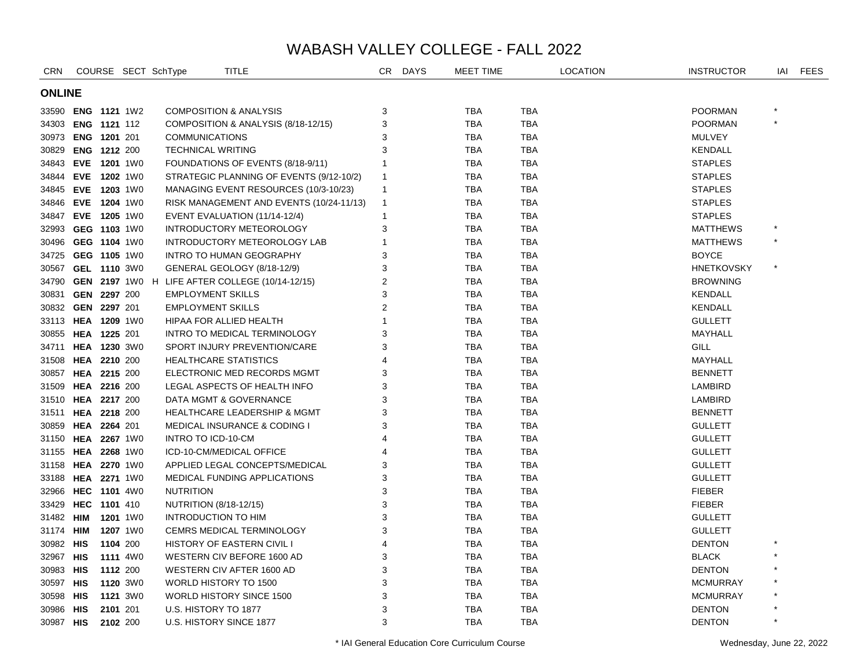| <b>CRN</b>         |                     |          | COURSE SECT SchType | <b>TITLE</b>                                          | CR             | <b>DAYS</b> | <b>MEET TIME</b> |            | <b>LOCATION</b> | <b>INSTRUCTOR</b> | IAI     | <b>FEES</b> |
|--------------------|---------------------|----------|---------------------|-------------------------------------------------------|----------------|-------------|------------------|------------|-----------------|-------------------|---------|-------------|
| <b>ONLINE</b>      |                     |          |                     |                                                       |                |             |                  |            |                 |                   |         |             |
| 33590 ENG 1121 1W2 |                     |          |                     | <b>COMPOSITION &amp; ANALYSIS</b>                     | 3              |             | <b>TBA</b>       | <b>TBA</b> |                 | <b>POORMAN</b>    |         |             |
| 34303 ENG 1121 112 |                     |          |                     | COMPOSITION & ANALYSIS (8/18-12/15)                   | 3              |             | <b>TBA</b>       | <b>TBA</b> |                 | <b>POORMAN</b>    | $\star$ |             |
| 30973 ENG 1201 201 |                     |          |                     | <b>COMMUNICATIONS</b>                                 | 3              |             | <b>TBA</b>       | TBA        |                 | MULVEY            |         |             |
| 30829 ENG 1212 200 |                     |          |                     | <b>TECHNICAL WRITING</b>                              | 3              |             | <b>TBA</b>       | <b>TBA</b> |                 | <b>KENDALL</b>    |         |             |
| 34843 EVE 1201 1W0 |                     |          |                     | FOUNDATIONS OF EVENTS (8/18-9/11)                     | $\mathbf{1}$   |             | <b>TBA</b>       | <b>TBA</b> |                 | <b>STAPLES</b>    |         |             |
| 34844 EVE 1202 1W0 |                     |          |                     | STRATEGIC PLANNING OF EVENTS (9/12-10/2)              | $\mathbf{1}$   |             | <b>TBA</b>       | <b>TBA</b> |                 | <b>STAPLES</b>    |         |             |
| 34845 EVE 1203 1W0 |                     |          |                     | MANAGING EVENT RESOURCES (10/3-10/23)                 | $\mathbf{1}$   |             | <b>TBA</b>       | <b>TBA</b> |                 | <b>STAPLES</b>    |         |             |
| 34846 EVE 1204 1W0 |                     |          |                     | RISK MANAGEMENT AND EVENTS (10/24-11/13)              | $\mathbf{1}$   |             | <b>TBA</b>       | <b>TBA</b> |                 | <b>STAPLES</b>    |         |             |
| 34847 EVE 1205 1W0 |                     |          |                     | EVENT EVALUATION (11/14-12/4)                         | $\mathbf{1}$   |             | <b>TBA</b>       | <b>TBA</b> |                 | <b>STAPLES</b>    |         |             |
| 32993 GEG 1103 1W0 |                     |          |                     | INTRODUCTORY METEOROLOGY                              | 3              |             | <b>TBA</b>       | TBA        |                 | <b>MATTHEWS</b>   | $\star$ |             |
| 30496 GEG 1104 1W0 |                     |          |                     | INTRODUCTORY METEOROLOGY LAB                          | -1             |             | <b>TBA</b>       | TBA        |                 | <b>MATTHEWS</b>   |         |             |
| 34725 GEG 1105 1W0 |                     |          |                     | <b>INTRO TO HUMAN GEOGRAPHY</b>                       | 3              |             | <b>TBA</b>       | <b>TBA</b> |                 | <b>BOYCE</b>      |         |             |
| 30567 GEL 1110 3W0 |                     |          |                     | GENERAL GEOLOGY (8/18-12/9)                           | 3              |             | <b>TBA</b>       | <b>TBA</b> |                 | <b>HNETKOVSKY</b> |         |             |
|                    |                     |          |                     | 34790 GEN 2197 1W0 H LIFE AFTER COLLEGE (10/14-12/15) | $\overline{2}$ |             | <b>TBA</b>       | <b>TBA</b> |                 | <b>BROWNING</b>   |         |             |
| 30831              | GEN 2297 200        |          |                     | <b>EMPLOYMENT SKILLS</b>                              | 3              |             | TBA              | TBA        |                 | <b>KENDALL</b>    |         |             |
| 30832 GEN 2297 201 |                     |          |                     | <b>EMPLOYMENT SKILLS</b>                              | $\overline{2}$ |             | <b>TBA</b>       | TBA        |                 | KENDALL           |         |             |
| 33113 HEA 1209 1W0 |                     |          |                     | HIPAA FOR ALLIED HEALTH                               | 1              |             | <b>TBA</b>       | TBA        |                 | <b>GULLETT</b>    |         |             |
| 30855 HEA 1225 201 |                     |          |                     | INTRO TO MEDICAL TERMINOLOGY                          | 3              |             | <b>TBA</b>       | TBA        |                 | MAYHALL           |         |             |
| 34711 HEA 1230 3W0 |                     |          |                     | SPORT INJURY PREVENTION/CARE                          | 3              |             | TBA              | TBA        |                 | GILL              |         |             |
| 31508 HEA 2210 200 |                     |          |                     | <b>HEALTHCARE STATISTICS</b>                          | 4              |             | <b>TBA</b>       | <b>TBA</b> |                 | MAYHALL           |         |             |
| 30857 HEA 2215 200 |                     |          |                     | ELECTRONIC MED RECORDS MGMT                           | 3              |             | <b>TBA</b>       | <b>TBA</b> |                 | <b>BENNETT</b>    |         |             |
| 31509 HEA 2216 200 |                     |          |                     | LEGAL ASPECTS OF HEALTH INFO                          | 3              |             | <b>TBA</b>       | <b>TBA</b> |                 | LAMBIRD           |         |             |
| 31510 HEA 2217 200 |                     |          |                     | DATA MGMT & GOVERNANCE                                | 3              |             | <b>TBA</b>       | <b>TBA</b> |                 | LAMBIRD           |         |             |
| 31511              | HEA 2218 200        |          |                     | <b>HEALTHCARE LEADERSHIP &amp; MGMT</b>               | 3              |             | <b>TBA</b>       | <b>TBA</b> |                 | <b>BENNETT</b>    |         |             |
| 30859 HEA 2264 201 |                     |          |                     | <b>MEDICAL INSURANCE &amp; CODING I</b>               | 3              |             | <b>TBA</b>       | <b>TBA</b> |                 | <b>GULLETT</b>    |         |             |
| 31150              | <b>HEA 2267 1W0</b> |          |                     | <b>INTRO TO ICD-10-CM</b>                             | 4              |             | <b>TBA</b>       | <b>TBA</b> |                 | <b>GULLETT</b>    |         |             |
| 31155 HEA 2268 1W0 |                     |          |                     | ICD-10-CM/MEDICAL OFFICE                              | 4              |             | <b>TBA</b>       | <b>TBA</b> |                 | <b>GULLETT</b>    |         |             |
| 31158 HEA 2270 1W0 |                     |          |                     | APPLIED LEGAL CONCEPTS/MEDICAL                        | 3              |             | <b>TBA</b>       | <b>TBA</b> |                 | <b>GULLETT</b>    |         |             |
| 33188 HEA 2271 1W0 |                     |          |                     | <b>MEDICAL FUNDING APPLICATIONS</b>                   | 3              |             | <b>TBA</b>       | <b>TBA</b> |                 | <b>GULLETT</b>    |         |             |
| 32966 HEC 1101 4W0 |                     |          | <b>NUTRITION</b>    |                                                       | 3              |             | <b>TBA</b>       | <b>TBA</b> |                 | <b>FIEBER</b>     |         |             |
| 33429 HEC 1101 410 |                     |          |                     | NUTRITION (8/18-12/15)                                | 3              |             | <b>TBA</b>       | <b>TBA</b> |                 | <b>FIEBER</b>     |         |             |
| 31482 HIM          |                     | 1201 1W0 |                     | <b>INTRODUCTION TO HIM</b>                            | 3              |             | <b>TBA</b>       | <b>TBA</b> |                 | <b>GULLETT</b>    |         |             |
| 31174 <b>HIM</b>   |                     | 1207 1W0 |                     | <b>CEMRS MEDICAL TERMINOLOGY</b>                      | 3              |             | <b>TBA</b>       | <b>TBA</b> |                 | <b>GULLETT</b>    |         |             |
| 30982 HIS          |                     | 1104 200 |                     | <b>HISTORY OF EASTERN CIVIL I</b>                     | $\overline{4}$ |             | <b>TBA</b>       | <b>TBA</b> |                 | <b>DENTON</b>     |         |             |
| 32967 HIS          |                     | 1111 4W0 |                     | WESTERN CIV BEFORE 1600 AD                            | 3              |             | <b>TBA</b>       | <b>TBA</b> |                 | <b>BLACK</b>      |         |             |
| 30983 HIS          |                     | 1112 200 |                     | WESTERN CIV AFTER 1600 AD                             | 3              |             | <b>TBA</b>       | <b>TBA</b> |                 | <b>DENTON</b>     |         |             |
| 30597 HIS          |                     | 1120 3W0 |                     | WORLD HISTORY TO 1500                                 | 3              |             | <b>TBA</b>       | <b>TBA</b> |                 | <b>MCMURRAY</b>   |         |             |
| 30598 HIS          |                     | 1121 3W0 |                     | WORLD HISTORY SINCE 1500                              | 3              |             | <b>TBA</b>       | <b>TBA</b> |                 | <b>MCMURRAY</b>   |         |             |
| 30986 HIS          |                     | 2101 201 |                     | U.S. HISTORY TO 1877                                  | 3              |             | <b>TBA</b>       | <b>TBA</b> |                 | <b>DENTON</b>     |         |             |
| 30987 HIS          |                     | 2102 200 |                     | U.S. HISTORY SINCE 1877                               | 3              |             | <b>TBA</b>       | <b>TBA</b> |                 | <b>DENTON</b>     | $\star$ |             |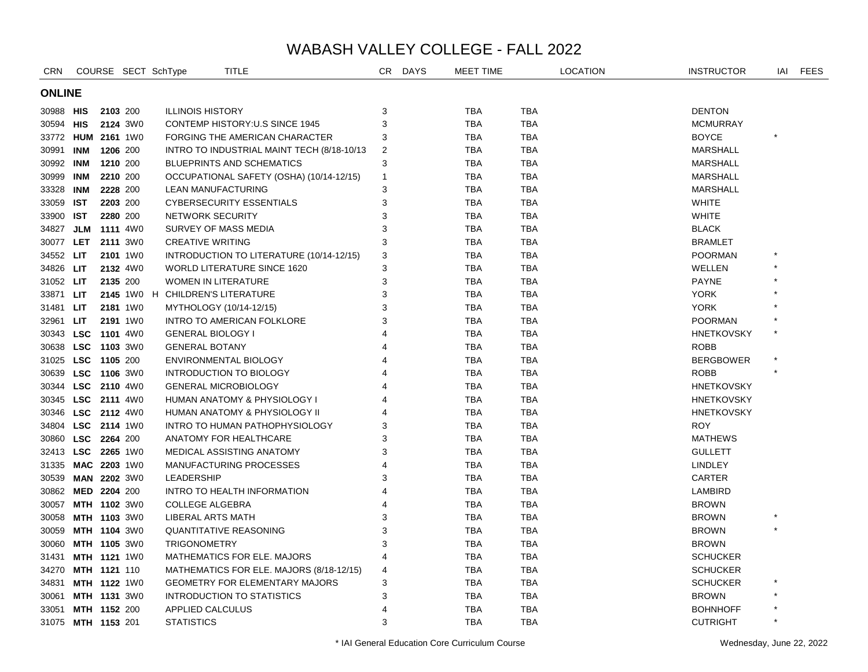| <b>CRN</b>    |                    |                     | COURSE SECT SchType      | <b>TITLE</b>                               | CR           | <b>DAYS</b> | MEET TIME  |            | <b>LOCATION</b> | <b>INSTRUCTOR</b> | IAI     | <b>FEES</b> |
|---------------|--------------------|---------------------|--------------------------|--------------------------------------------|--------------|-------------|------------|------------|-----------------|-------------------|---------|-------------|
| <b>ONLINE</b> |                    |                     |                          |                                            |              |             |            |            |                 |                   |         |             |
| 30988 HIS     |                    | 2103 200            | <b>ILLINOIS HISTORY</b>  |                                            | 3            |             | <b>TBA</b> | <b>TBA</b> |                 | <b>DENTON</b>     |         |             |
| 30594 HIS     |                    | 2124 3W0            |                          | <b>CONTEMP HISTORY: U.S SINCE 1945</b>     | 3            |             | <b>TBA</b> | <b>TBA</b> |                 | <b>MCMURRAY</b>   |         |             |
|               | 33772 HUM 2161 1W0 |                     |                          | FORGING THE AMERICAN CHARACTER             | 3            |             | <b>TBA</b> | TBA        |                 | <b>BOYCE</b>      | $\star$ |             |
| 30991 INM     |                    | 1206 200            |                          | INTRO TO INDUSTRIAL MAINT TECH (8/18-10/13 | 2            |             | <b>TBA</b> | <b>TBA</b> |                 | <b>MARSHALL</b>   |         |             |
| 30992 INM     |                    | 1210 200            |                          | <b>BLUEPRINTS AND SCHEMATICS</b>           | 3            |             | <b>TBA</b> | <b>TBA</b> |                 | <b>MARSHALL</b>   |         |             |
| 30999 INM     |                    | 2210 200            |                          | OCCUPATIONAL SAFETY (OSHA) (10/14-12/15)   | $\mathbf{1}$ |             | <b>TBA</b> | <b>TBA</b> |                 | <b>MARSHALL</b>   |         |             |
| 33328 INM     |                    | 2228 200            |                          | <b>LEAN MANUFACTURING</b>                  | 3            |             | <b>TBA</b> | TBA        |                 | <b>MARSHALL</b>   |         |             |
| 33059 IST     |                    | 2203 200            |                          | <b>CYBERSECURITY ESSENTIALS</b>            | 3            |             | <b>TBA</b> | TBA        |                 | <b>WHITE</b>      |         |             |
| 33900 IST     |                    | 2280 200            |                          | NETWORK SECURITY                           | 3            |             | <b>TBA</b> | TBA        |                 | <b>WHITE</b>      |         |             |
|               | 34827 JLM          | <b>1111</b> 4W0     |                          | SURVEY OF MASS MEDIA                       | 3            |             | <b>TBA</b> | TBA        |                 | <b>BLACK</b>      |         |             |
| 30077 LET     |                    | 2111 3W0            | <b>CREATIVE WRITING</b>  |                                            | 3            |             | <b>TBA</b> | <b>TBA</b> |                 | <b>BRAMLET</b>    |         |             |
| 34552 LIT     |                    | 2101 1W0            |                          | INTRODUCTION TO LITERATURE (10/14-12/15)   | 3            |             | <b>TBA</b> | <b>TBA</b> |                 | <b>POORMAN</b>    |         |             |
| 34826 LIT     |                    | 2132 4W0            |                          | <b>WORLD LITERATURE SINCE 1620</b>         | 3            |             | <b>TBA</b> | <b>TBA</b> |                 | WELLEN            |         |             |
| 31052 LIT     |                    | 2135 200            |                          | <b>WOMEN IN LITERATURE</b>                 | 3            |             | <b>TBA</b> | <b>TBA</b> |                 | <b>PAYNE</b>      |         |             |
| 33871 LIT     |                    | 2145 1W0 H          |                          | <b>CHILDREN'S LITERATURE</b>               | 3            |             | <b>TBA</b> | <b>TBA</b> |                 | <b>YORK</b>       |         |             |
| 31481 LIT     |                    | 2181 1W0            |                          | MYTHOLOGY (10/14-12/15)                    | 3            |             | <b>TBA</b> | <b>TBA</b> |                 | <b>YORK</b>       |         |             |
| 32961 LIT     |                    | 2191 1W0            |                          | INTRO TO AMERICAN FOLKLORE                 | 3            |             | <b>TBA</b> | <b>TBA</b> |                 | <b>POORMAN</b>    |         |             |
|               | 30343 LSC 1101 4W0 |                     | <b>GENERAL BIOLOGY I</b> |                                            | 4            |             | <b>TBA</b> | <b>TBA</b> |                 | <b>HNETKOVSKY</b> | $\star$ |             |
|               | 30638 LSC 1103 3W0 |                     | <b>GENERAL BOTANY</b>    |                                            | 4            |             | <b>TBA</b> | <b>TBA</b> |                 | <b>ROBB</b>       |         |             |
|               | 31025 LSC 1105 200 |                     |                          | ENVIRONMENTAL BIOLOGY                      | 4            |             | <b>TBA</b> | <b>TBA</b> |                 | <b>BERGBOWER</b>  |         |             |
|               | 30639 LSC 1106 3W0 |                     |                          | INTRODUCTION TO BIOLOGY                    | 4            |             | <b>TBA</b> | <b>TBA</b> |                 | <b>ROBB</b>       |         |             |
|               | 30344 LSC 2110 4W0 |                     |                          | <b>GENERAL MICROBIOLOGY</b>                | 4            |             | <b>TBA</b> | <b>TBA</b> |                 | <b>HNETKOVSKY</b> |         |             |
|               | 30345 LSC 2111 4W0 |                     |                          | HUMAN ANATOMY & PHYSIOLOGY I               | 4            |             | <b>TBA</b> | TBA        |                 | <b>HNETKOVSKY</b> |         |             |
|               | 30346 LSC 2112 4W0 |                     |                          | HUMAN ANATOMY & PHYSIOLOGY II              | 4            |             | <b>TBA</b> | <b>TBA</b> |                 | <b>HNETKOVSKY</b> |         |             |
|               | 34804 LSC 2114 1W0 |                     |                          | INTRO TO HUMAN PATHOPHYSIOLOGY             | 3            |             | <b>TBA</b> | <b>TBA</b> |                 | <b>ROY</b>        |         |             |
|               | 30860 LSC 2264 200 |                     |                          | ANATOMY FOR HEALTHCARE                     | 3            |             | <b>TBA</b> | TBA        |                 | <b>MATHEWS</b>    |         |             |
|               | 32413 LSC 2265 1W0 |                     |                          | MEDICAL ASSISTING ANATOMY                  | 3            |             | <b>TBA</b> | TBA        |                 | <b>GULLETT</b>    |         |             |
|               | 31335 MAC 2203 1W0 |                     |                          | MANUFACTURING PROCESSES                    | 4            |             | <b>TBA</b> | <b>TBA</b> |                 | LINDLEY           |         |             |
| 30539         | MAN 2202 3W0       |                     | <b>LEADERSHIP</b>        |                                            | 3            |             | <b>TBA</b> | TBA        |                 | CARTER            |         |             |
| 30862         | MED 2204 200       |                     |                          | INTRO TO HEALTH INFORMATION                | 4            |             | <b>TBA</b> | <b>TBA</b> |                 | LAMBIRD           |         |             |
| 30057         |                    | MTH 1102 3W0        | COLLEGE ALGEBRA          |                                            | 4            |             | <b>TBA</b> | <b>TBA</b> |                 | <b>BROWN</b>      |         |             |
| 30058         |                    | MTH 1103 3W0        | LIBERAL ARTS MATH        |                                            | 3            |             | <b>TBA</b> | <b>TBA</b> |                 | <b>BROWN</b>      |         |             |
| 30059         | MTH 1104 3W0       |                     |                          | <b>QUANTITATIVE REASONING</b>              | 3            |             | <b>TBA</b> | <b>TBA</b> |                 | <b>BROWN</b>      |         |             |
| 30060         | MTH 1105 3W0       |                     | <b>TRIGONOMETRY</b>      |                                            | 3            |             | <b>TBA</b> | <b>TBA</b> |                 | <b>BROWN</b>      |         |             |
| 31431         |                    | <b>MTH 1121 1W0</b> |                          | MATHEMATICS FOR ELE. MAJORS                | 4            |             | <b>TBA</b> | <b>TBA</b> |                 | <b>SCHUCKER</b>   |         |             |
| 34270         | MTH 1121 110       |                     |                          | MATHEMATICS FOR ELE. MAJORS (8/18-12/15)   | 4            |             | <b>TBA</b> | <b>TBA</b> |                 | <b>SCHUCKER</b>   |         |             |
| 34831         |                    | MTH 1122 1W0        |                          | <b>GEOMETRY FOR ELEMENTARY MAJORS</b>      | 3            |             | <b>TBA</b> | <b>TBA</b> |                 | <b>SCHUCKER</b>   |         |             |
| 30061         |                    | MTH 1131 3W0        |                          | <b>INTRODUCTION TO STATISTICS</b>          | 3            |             | <b>TBA</b> | <b>TBA</b> |                 | <b>BROWN</b>      |         |             |
| 33051         | MTH 1152 200       |                     | <b>APPLIED CALCULUS</b>  |                                            | 4            |             | <b>TBA</b> | <b>TBA</b> |                 | <b>BOHNHOFF</b>   |         |             |
|               | 31075 MTH 1153 201 |                     | <b>STATISTICS</b>        |                                            | 3            |             | <b>TBA</b> | <b>TBA</b> |                 | <b>CUTRIGHT</b>   | $\star$ |             |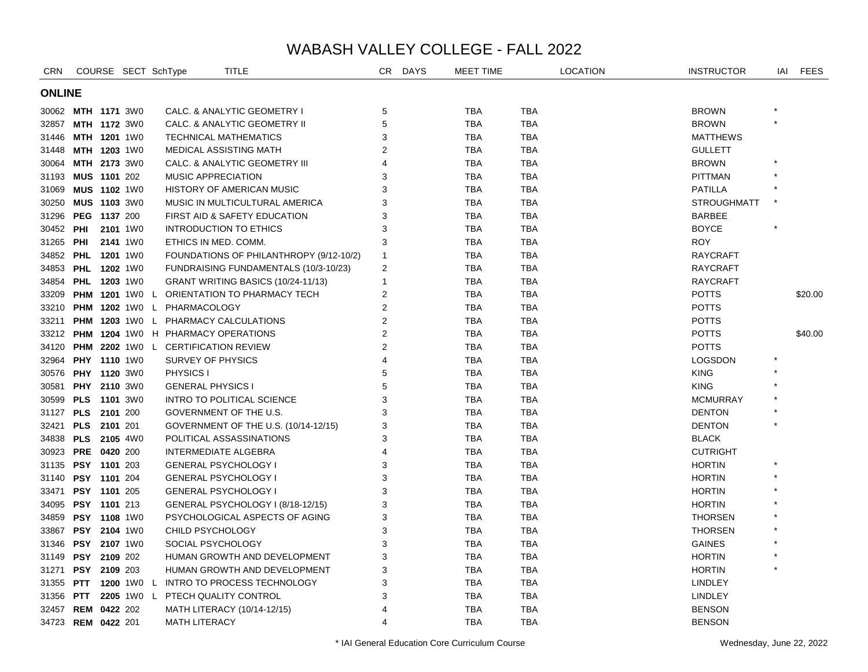| <b>CRN</b>    |                       | COURSE SECT SchType |                                    | <b>TITLE</b>                                      | CR.                   | <b>DAYS</b> | <b>MEET TIME</b> |            | <b>LOCATION</b> | <b>INSTRUCTOR</b>  | IAI | <b>FEES</b> |
|---------------|-----------------------|---------------------|------------------------------------|---------------------------------------------------|-----------------------|-------------|------------------|------------|-----------------|--------------------|-----|-------------|
| <b>ONLINE</b> |                       |                     |                                    |                                                   |                       |             |                  |            |                 |                    |     |             |
|               | 30062 MTH 1171 3W0    |                     |                                    | CALC. & ANALYTIC GEOMETRY I                       | 5                     |             | <b>TBA</b>       | <b>TBA</b> |                 | <b>BROWN</b>       |     |             |
| 32857         | MTH 1172 3W0          |                     |                                    | CALC. & ANALYTIC GEOMETRY II                      | 5                     |             | <b>TBA</b>       | <b>TBA</b> |                 | <b>BROWN</b>       |     |             |
| 31446         | <b>MTH 1201 1W0</b>   |                     |                                    | <b>TECHNICAL MATHEMATICS</b>                      | 3                     |             | <b>TBA</b>       | TBA        |                 | <b>MATTHEWS</b>    |     |             |
| 31448         | MTH 1203 1W0          |                     |                                    | <b>MEDICAL ASSISTING MATH</b>                     | 2                     |             | <b>TBA</b>       | TBA        |                 | <b>GULLETT</b>     |     |             |
| 30064         | MTH 2173 3W0          |                     |                                    | CALC. & ANALYTIC GEOMETRY III                     | $\boldsymbol{\Delta}$ |             | <b>TBA</b>       | <b>TBA</b> |                 | <b>BROWN</b>       |     |             |
| 31193         | MUS 1101 202          |                     | <b>MUSIC APPRECIATION</b>          |                                                   | 3                     |             | <b>TBA</b>       | TBA        |                 | <b>PITTMAN</b>     |     |             |
| 31069         | <b>MUS 1102 1W0</b>   |                     |                                    | <b>HISTORY OF AMERICAN MUSIC</b>                  | 3                     |             | <b>TBA</b>       | TBA        |                 | <b>PATILLA</b>     |     |             |
| 30250         | <b>MUS 1103 3W0</b>   |                     |                                    | MUSIC IN MULTICULTURAL AMERICA                    | 3                     |             | TBA              | TBA        |                 | <b>STROUGHMATT</b> |     |             |
| 31296         | PEG 1137 200          |                     |                                    | FIRST AID & SAFETY EDUCATION                      | 3                     |             | <b>TBA</b>       | <b>TBA</b> |                 | <b>BARBEE</b>      |     |             |
| 30452         | PHI                   | 2101 1W0            |                                    | <b>INTRODUCTION TO ETHICS</b>                     | 3                     |             | <b>TBA</b>       | <b>TBA</b> |                 | <b>BOYCE</b>       |     |             |
| 31265         | PHI                   | 2141 1W0            |                                    | ETHICS IN MED. COMM.                              | 3                     |             | <b>TBA</b>       | TBA        |                 | <b>ROY</b>         |     |             |
| 34852         | <b>PHL</b>            | <b>1201</b> 1W0     |                                    | FOUNDATIONS OF PHILANTHROPY (9/12-10/2)           | $\mathbf{1}$          |             | <b>TBA</b>       | <b>TBA</b> |                 | <b>RAYCRAFT</b>    |     |             |
| 34853         | <b>PHL 1202 1W0</b>   |                     |                                    | FUNDRAISING FUNDAMENTALS (10/3-10/23)             | 2                     |             | <b>TBA</b>       | <b>TBA</b> |                 | <b>RAYCRAFT</b>    |     |             |
| 34854         | <b>PHL 1203 1W0</b>   |                     |                                    | GRANT WRITING BASICS (10/24-11/13)                | $\mathbf{1}$          |             | <b>TBA</b>       | <b>TBA</b> |                 | <b>RAYCRAFT</b>    |     |             |
|               |                       |                     |                                    | 33209 PHM 1201 1WO L ORIENTATION TO PHARMACY TECH | $\overline{2}$        |             | <b>TBA</b>       | TBA        |                 | <b>POTTS</b>       |     | \$20.00     |
| 33210         |                       |                     | <b>PHM 1202</b> 1W0 L PHARMACOLOGY |                                                   | 2                     |             | <b>TBA</b>       | <b>TBA</b> |                 | <b>POTTS</b>       |     |             |
| 33211         |                       |                     |                                    | <b>PHM 1203 1WO L PHARMACY CALCULATIONS</b>       | $\overline{2}$        |             | <b>TBA</b>       | TBA        |                 | <b>POTTS</b>       |     |             |
| 33212         |                       |                     |                                    | <b>PHM 1204 1WO H PHARMACY OPERATIONS</b>         | $\overline{2}$        |             | <b>TBA</b>       | TBA        |                 | <b>POTTS</b>       |     | \$40.00     |
| 34120         |                       |                     |                                    | <b>PHM 2202 1WO L CERTIFICATION REVIEW</b>        | $\overline{2}$        |             | <b>TBA</b>       | TBA        |                 | <b>POTTS</b>       |     |             |
| 32964         | <b>PHY 1110 1W0</b>   |                     | SURVEY OF PHYSICS                  |                                                   | $\overline{4}$        |             | <b>TBA</b>       | <b>TBA</b> |                 | <b>LOGSDON</b>     |     |             |
| 30576         | <b>PHY 1120 3W0</b>   |                     | PHYSICS I                          |                                                   | 5                     |             | <b>TBA</b>       | <b>TBA</b> |                 | <b>KING</b>        |     |             |
| 30581         | PHY 2110 3W0          |                     | <b>GENERAL PHYSICS I</b>           |                                                   | 5                     |             | <b>TBA</b>       | <b>TBA</b> |                 | <b>KING</b>        |     |             |
| 30599         | PLS 1101 3W0          |                     |                                    | INTRO TO POLITICAL SCIENCE                        | 3                     |             | <b>TBA</b>       | <b>TBA</b> |                 | <b>MCMURRAY</b>    |     |             |
| 31127         | PLS 2101 200          |                     |                                    | GOVERNMENT OF THE U.S.                            | 3                     |             | <b>TBA</b>       | <b>TBA</b> |                 | <b>DENTON</b>      |     |             |
| 32421         | PLS 2101 201          |                     |                                    | GOVERNMENT OF THE U.S. (10/14-12/15)              | 3                     |             | <b>TBA</b>       | <b>TBA</b> |                 | <b>DENTON</b>      |     |             |
|               | 34838 PLS 2105 4W0    |                     |                                    | POLITICAL ASSASSINATIONS                          | 3                     |             | <b>TBA</b>       | TBA        |                 | <b>BLACK</b>       |     |             |
| 30923         | PRE 0420 200          |                     |                                    | <b>INTERMEDIATE ALGEBRA</b>                       | $\boldsymbol{\Delta}$ |             | <b>TBA</b>       | TBA        |                 | <b>CUTRIGHT</b>    |     |             |
| 31135         | PSY 1101 203          |                     |                                    | <b>GENERAL PSYCHOLOGY I</b>                       | 3                     |             | <b>TBA</b>       | <b>TBA</b> |                 | <b>HORTIN</b>      |     |             |
| 31140         | PSY 1101 204          |                     |                                    | <b>GENERAL PSYCHOLOGY I</b>                       | 3                     |             | <b>TBA</b>       | <b>TBA</b> |                 | <b>HORTIN</b>      |     |             |
| 33471         | PSY 1101 205          |                     |                                    | <b>GENERAL PSYCHOLOGY I</b>                       | 3                     |             | <b>TBA</b>       | <b>TBA</b> |                 | <b>HORTIN</b>      |     |             |
| 34095         | <b>PSY 1101 213</b>   |                     |                                    | GENERAL PSYCHOLOGY I (8/18-12/15)                 | 3                     |             | <b>TBA</b>       | TBA        |                 | <b>HORTIN</b>      |     |             |
| 34859         | <b>PSY 1108 1W0</b>   |                     |                                    | PSYCHOLOGICAL ASPECTS OF AGING                    | 3                     |             | <b>TBA</b>       | <b>TBA</b> |                 | <b>THORSEN</b>     |     |             |
| 33867         | PSY 2104 1W0          |                     | CHILD PSYCHOLOGY                   |                                                   | 3                     |             | <b>TBA</b>       | <b>TBA</b> |                 | <b>THORSEN</b>     |     |             |
| 31346         | PSY 2107 1W0          |                     | SOCIAL PSYCHOLOGY                  |                                                   | 3                     |             | <b>TBA</b>       | <b>TBA</b> |                 | <b>GAINES</b>      |     |             |
| 31149         | PSY 2109 202          |                     |                                    | HUMAN GROWTH AND DEVELOPMENT                      | 3                     |             | <b>TBA</b>       | TBA        |                 | <b>HORTIN</b>      |     |             |
| 31271         | PSY 2109 203          |                     |                                    | HUMAN GROWTH AND DEVELOPMENT                      | 3                     |             | <b>TBA</b>       | <b>TBA</b> |                 | <b>HORTIN</b>      |     |             |
| 31355         | <b>PTT 1200 1W0 L</b> |                     |                                    | INTRO TO PROCESS TECHNOLOGY                       | 3                     |             | <b>TBA</b>       | <b>TBA</b> |                 | <b>LINDLEY</b>     |     |             |
| 31356         | <b>PTT</b>            | 2205 1W0 L          |                                    | PTECH QUALITY CONTROL                             | 3                     |             | <b>TBA</b>       | <b>TBA</b> |                 | <b>LINDLEY</b>     |     |             |
| 32457         | <b>REM 0422 202</b>   |                     |                                    | MATH LITERACY (10/14-12/15)                       |                       |             | <b>TBA</b>       | TBA        |                 | <b>BENSON</b>      |     |             |
|               | 34723 REM 0422 201    |                     | <b>MATH LITERACY</b>               |                                                   | $\overline{4}$        |             | <b>TBA</b>       | <b>TBA</b> |                 | <b>BENSON</b>      |     |             |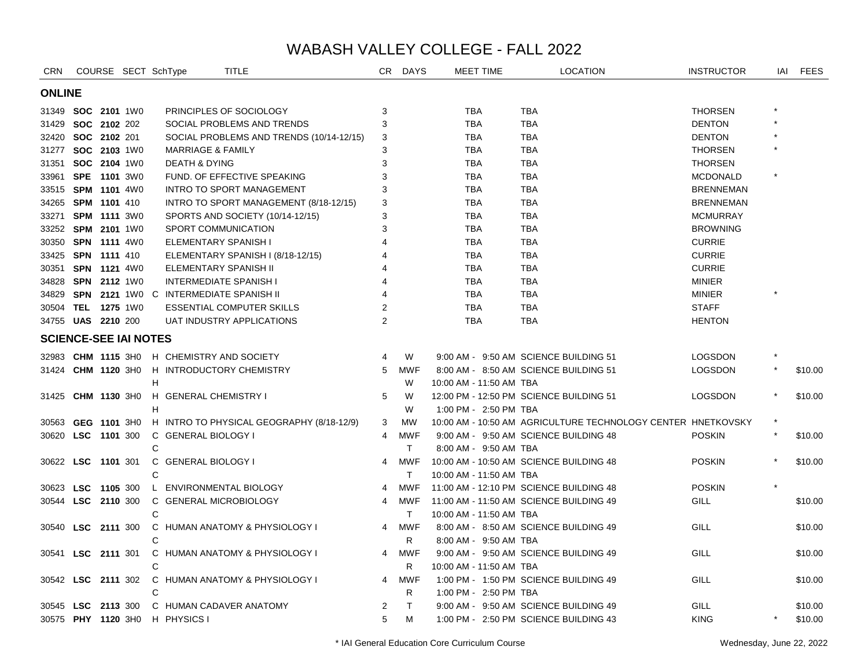| <b>CRN</b>                   |                           |          | COURSE SECT SchType      | <b>TITLE</b>                                  | CR -           | <b>DAYS</b> |                         | MEET TIME | <b>LOCATION</b>                                              | <b>INSTRUCTOR</b> | IAI | <b>FEES</b> |
|------------------------------|---------------------------|----------|--------------------------|-----------------------------------------------|----------------|-------------|-------------------------|-----------|--------------------------------------------------------------|-------------------|-----|-------------|
| <b>ONLINE</b>                |                           |          |                          |                                               |                |             |                         |           |                                                              |                   |     |             |
|                              | 31349 <b>SOC 2101</b> 1W0 |          |                          | PRINCIPLES OF SOCIOLOGY                       | 3              |             | TBA                     |           | <b>TBA</b>                                                   | <b>THORSEN</b>    |     |             |
| 31429                        | SOC 2102 202              |          |                          | SOCIAL PROBLEMS AND TRENDS                    | 3              |             | <b>TBA</b>              |           | <b>TBA</b>                                                   | <b>DENTON</b>     |     |             |
|                              | 32420 SOC 2102 201        |          |                          | SOCIAL PROBLEMS AND TRENDS (10/14-12/15)      | 3              |             | <b>TBA</b>              |           | <b>TBA</b>                                                   | <b>DENTON</b>     |     |             |
|                              | 31277 SOC 2103 1W0        |          |                          | <b>MARRIAGE &amp; FAMILY</b>                  | 3              |             | <b>TBA</b>              |           | <b>TBA</b>                                                   | <b>THORSEN</b>    |     |             |
|                              | 31351 SOC 2104 1W0        |          | <b>DEATH &amp; DYING</b> |                                               | 3              |             | <b>TBA</b>              |           | <b>TBA</b>                                                   | <b>THORSEN</b>    |     |             |
|                              | 33961 SPE 1101 3W0        |          |                          | FUND. OF EFFECTIVE SPEAKING                   |                |             | <b>TBA</b>              |           | <b>TBA</b>                                                   | <b>MCDONALD</b>   |     |             |
|                              | 33515 SPM 1101 4W0        |          |                          | <b>INTRO TO SPORT MANAGEMENT</b>              | 3              |             | <b>TBA</b>              |           | <b>TBA</b>                                                   | <b>BRENNEMAN</b>  |     |             |
|                              | 34265 SPM 1101 410        |          |                          | INTRO TO SPORT MANAGEMENT (8/18-12/15)        | 3              |             | <b>TBA</b>              |           | <b>TBA</b>                                                   | <b>BRENNEMAN</b>  |     |             |
|                              | 33271 SPM 1111 3W0        |          |                          | SPORTS AND SOCIETY (10/14-12/15)              | 3              |             | <b>TBA</b>              |           | <b>TBA</b>                                                   | <b>MCMURRAY</b>   |     |             |
|                              | 33252 SPM 2101 1W0        |          |                          | SPORT COMMUNICATION                           | 3              |             | <b>TBA</b>              |           | <b>TBA</b>                                                   | <b>BROWNING</b>   |     |             |
|                              | 30350 SPN 1111 4W0        |          |                          | ELEMENTARY SPANISH I                          |                |             | <b>TBA</b>              |           | <b>TBA</b>                                                   | <b>CURRIE</b>     |     |             |
|                              | 33425 SPN 1111 410        |          |                          | ELEMENTARY SPANISH I (8/18-12/15)             | 4              |             | <b>TBA</b>              |           | <b>TBA</b>                                                   | <b>CURRIE</b>     |     |             |
|                              | 30351 SPN 1121 4W0        |          |                          | ELEMENTARY SPANISH II                         |                |             | <b>TBA</b>              |           | <b>TBA</b>                                                   | <b>CURRIE</b>     |     |             |
|                              | 34828 SPN 2112 1W0        |          |                          | <b>INTERMEDIATE SPANISH I</b>                 |                |             | <b>TBA</b>              |           | <b>TBA</b>                                                   | <b>MINIER</b>     |     |             |
| 34829                        |                           |          |                          | <b>SPN 2121 1WO C INTERMEDIATE SPANISH II</b> |                |             | <b>TBA</b>              |           | <b>TBA</b>                                                   | <b>MINIER</b>     |     |             |
|                              | 30504 TEL 1275 1W0        |          |                          | <b>ESSENTIAL COMPUTER SKILLS</b>              | $\mathfrak{p}$ |             | <b>TBA</b>              |           | <b>TBA</b>                                                   | <b>STAFF</b>      |     |             |
|                              | 34755 UAS 2210 200        |          |                          | UAT INDUSTRY APPLICATIONS                     | 2              |             | <b>TBA</b>              |           | <b>TBA</b>                                                   | <b>HENTON</b>     |     |             |
| <b>SCIENCE-SEE IAI NOTES</b> |                           |          |                          |                                               |                |             |                         |           |                                                              |                   |     |             |
|                              | 32983 CHM 1115 3H0        |          |                          | H CHEMISTRY AND SOCIETY                       | 4              | W           |                         |           | 9:00 AM - 9:50 AM SCIENCE BUILDING 51                        | <b>LOGSDON</b>    |     |             |
|                              | 31424 CHM 1120 3H0        |          |                          | H INTRODUCTORY CHEMISTRY                      | 5              | <b>MWF</b>  |                         |           | 8:00 AM - 8:50 AM SCIENCE BUILDING 51                        | <b>LOGSDON</b>    |     | \$10.00     |
|                              |                           |          | H                        |                                               |                | W           | 10:00 AM - 11:50 AM TBA |           |                                                              |                   |     |             |
| 31425                        | CHM 1130 3H0              |          | H GENERAL CHEMISTRY I    |                                               | 5              | W           |                         |           | 12:00 PM - 12:50 PM SCIENCE BUILDING 51                      | <b>LOGSDON</b>    |     | \$10.00     |
|                              |                           |          | н                        |                                               |                | W           | 1:00 PM - 2:50 PM TBA   |           |                                                              |                   |     |             |
|                              | 30563 GEG 1101 3H0        |          |                          | H INTRO TO PHYSICAL GEOGRAPHY (8/18-12/9)     | 3              | <b>MW</b>   |                         |           | 10:00 AM - 10:50 AM AGRICULTURE TECHNOLOGY CENTER HNETKOVSKY |                   |     |             |
| 30620                        | LSC 1101 300              |          | C GENERAL BIOLOGY I      |                                               | 4              | <b>MWF</b>  |                         |           | 9:00 AM - 9:50 AM SCIENCE BUILDING 48                        | <b>POSKIN</b>     |     | \$10.00     |
|                              |                           |          | C                        |                                               |                | T.          | 8:00 AM - 9:50 AM TBA   |           |                                                              |                   |     |             |
| 30622                        | <b>LSC</b> 1101 301       |          | C GENERAL BIOLOGY I      |                                               | 4              | <b>MWF</b>  |                         |           | 10:00 AM - 10:50 AM SCIENCE BUILDING 48                      | <b>POSKIN</b>     |     | \$10.00     |
|                              |                           |          | $\mathsf{C}$             |                                               |                | T.          | 10:00 AM - 11:50 AM TBA |           |                                                              |                   |     |             |
|                              | 30623 LSC 1105 300        |          |                          | L ENVIRONMENTAL BIOLOGY                       | 4              | <b>MWF</b>  |                         |           | 11:00 AM - 12:10 PM SCIENCE BUILDING 48                      | <b>POSKIN</b>     |     |             |
|                              | 30544 LSC 2110 300        |          |                          | C GENERAL MICROBIOLOGY                        | 4              | <b>MWF</b>  |                         |           | 11:00 AM - 11:50 AM SCIENCE BUILDING 49                      | GILL              |     | \$10.00     |
|                              |                           |          | C                        |                                               |                | T.          | 10:00 AM - 11:50 AM TBA |           |                                                              |                   |     |             |
| 30540                        | <b>LSC</b>                | 2111 300 |                          | C HUMAN ANATOMY & PHYSIOLOGY I                | 4              | <b>MWF</b>  |                         |           | 8:00 AM - 8:50 AM SCIENCE BUILDING 49                        | <b>GILL</b>       |     | \$10.00     |
|                              |                           |          | C                        |                                               |                | R.          | 8:00 AM - 9:50 AM TBA   |           |                                                              |                   |     |             |
|                              | 30541 LSC 2111 301        |          |                          | C HUMAN ANATOMY & PHYSIOLOGY I                | $\overline{4}$ | <b>MWF</b>  |                         |           | 9:00 AM - 9:50 AM SCIENCE BUILDING 49                        | GILL              |     | \$10.00     |
|                              |                           |          | C                        |                                               |                | R           | 10:00 AM - 11:50 AM TBA |           |                                                              |                   |     |             |
|                              | 30542 <b>LSC</b> 2111 302 |          |                          | C HUMAN ANATOMY & PHYSIOLOGY I                | 4              | <b>MWF</b>  |                         |           | 1:00 PM - 1:50 PM SCIENCE BUILDING 49                        | <b>GILL</b>       |     | \$10.00     |
|                              |                           |          | C                        |                                               |                | R.          | 1:00 PM - 2:50 PM TBA   |           |                                                              |                   |     |             |
|                              | 30545 LSC 2113 300        |          |                          | C HUMAN CADAVER ANATOMY                       | 2              | T.          |                         |           | 9:00 AM - 9:50 AM SCIENCE BUILDING 49                        | GILL              |     | \$10.00     |
|                              | 30575 PHY 1120 3H0        |          | H PHYSICS I              |                                               | 5              | M           |                         |           | 1:00 PM - 2:50 PM SCIENCE BUILDING 43                        | <b>KING</b>       |     | \$10.00     |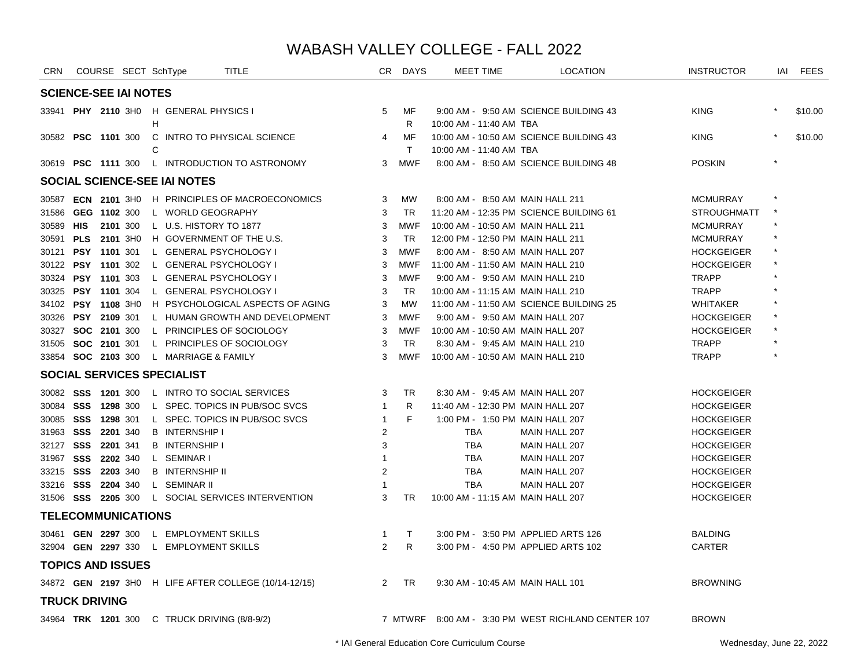| <b>CRN</b>                   |                     |          | COURSE SECT SchType |   |                                              | <b>TITLE</b>                                          |                | CR DAYS            | <b>MEET TIME</b>                  | <b>LOCATION</b>                                    | <b>INSTRUCTOR</b>  | IAI     | <b>FEES</b> |
|------------------------------|---------------------|----------|---------------------|---|----------------------------------------------|-------------------------------------------------------|----------------|--------------------|-----------------------------------|----------------------------------------------------|--------------------|---------|-------------|
| <b>SCIENCE-SEE IAI NOTES</b> |                     |          |                     |   |                                              |                                                       |                |                    |                                   |                                                    |                    |         |             |
|                              |                     |          |                     | Н | 33941 PHY 2110 3HO H GENERAL PHYSICS I       |                                                       | 5              | MF<br>R            | 10:00 AM - 11:40 AM TBA           | 9:00 AM - 9:50 AM SCIENCE BUILDING 43              | <b>KING</b>        |         | \$10.00     |
| 30582                        | <b>PSC 1101 300</b> |          |                     | C |                                              | C INTRO TO PHYSICAL SCIENCE                           | 4              | ΜF<br>$\mathsf{T}$ | 10:00 AM - 11:40 AM TBA           | 10:00 AM - 10:50 AM SCIENCE BUILDING 43            | <b>KING</b>        |         | \$10.00     |
| 30619 <b>PSC 1111</b> 300    |                     |          |                     |   |                                              | L INTRODUCTION TO ASTRONOMY                           | 3              | MWF                |                                   | 8:00 AM - 8:50 AM SCIENCE BUILDING 48              | <b>POSKIN</b>      |         |             |
|                              |                     |          |                     |   | SOCIAL SCIENCE-SEE IAI NOTES                 |                                                       |                |                    |                                   |                                                    |                    |         |             |
|                              |                     |          |                     |   |                                              | 30587 ECN 2101 3H0 H PRINCIPLES OF MACROECONOMICS     | 3              | MW                 | 8:00 AM - 8:50 AM MAIN HALL 211   |                                                    | <b>MCMURRAY</b>    |         |             |
| 31586                        | GEG 1102 300        |          |                     |   | L WORLD GEOGRAPHY                            |                                                       | 3              | <b>TR</b>          |                                   | 11:20 AM - 12:35 PM SCIENCE BUILDING 61            | <b>STROUGHMATT</b> |         |             |
| 30589                        | HIS                 | 2101 300 |                     |   | L U.S. HISTORY TO 1877                       |                                                       | 3              | <b>MWF</b>         | 10:00 AM - 10:50 AM MAIN HALL 211 |                                                    | <b>MCMURRAY</b>    |         |             |
| 30591 PLS 2101 3H0           |                     |          |                     |   |                                              | H GOVERNMENT OF THE U.S.                              | 3              | <b>TR</b>          | 12:00 PM - 12:50 PM MAIN HALL 211 |                                                    | <b>MCMURRAY</b>    |         |             |
| 30121 PSY 1101 301           |                     |          |                     |   | L GENERAL PSYCHOLOGY I                       |                                                       | 3              | <b>MWF</b>         | 8:00 AM - 8:50 AM MAIN HALL 207   |                                                    | <b>HOCKGEIGER</b>  |         |             |
| 30122 PSY 1101 302           |                     |          |                     |   | L GENERAL PSYCHOLOGY I                       |                                                       | 3              | MWF                | 11:00 AM - 11:50 AM MAIN HALL 210 |                                                    | <b>HOCKGEIGER</b>  |         |             |
| 30324 PSY 1101 303           |                     |          |                     |   | L GENERAL PSYCHOLOGY I                       |                                                       | 3              | <b>MWF</b>         | 9:00 AM - 9:50 AM MAIN HALL 210   |                                                    | <b>TRAPP</b>       |         |             |
| 30325 PSY 1101 304           |                     |          |                     |   | L GENERAL PSYCHOLOGY I                       |                                                       | 3              | <b>TR</b>          | 10:00 AM - 11:15 AM MAIN HALL 210 |                                                    | <b>TRAPP</b>       |         |             |
| 34102 PSY 1108 3H0           |                     |          |                     |   |                                              | H PSYCHOLOGICAL ASPECTS OF AGING                      | 3              | <b>MW</b>          |                                   | 11:00 AM - 11:50 AM SCIENCE BUILDING 25            | WHITAKER           |         |             |
| 30326 PSY 2109 301           |                     |          |                     |   |                                              | L HUMAN GROWTH AND DEVELOPMENT                        | 3              | <b>MWF</b>         | 9:00 AM - 9:50 AM MAIN HALL 207   |                                                    | <b>HOCKGEIGER</b>  |         |             |
| 30327 SOC 2101 300           |                     |          |                     |   |                                              | L PRINCIPLES OF SOCIOLOGY                             | 3              | <b>MWF</b>         | 10:00 AM - 10:50 AM MAIN HALL 207 |                                                    | <b>HOCKGEIGER</b>  |         |             |
| 31505 <b>SOC 2101</b> 301    |                     |          |                     |   |                                              | L PRINCIPLES OF SOCIOLOGY                             | 3              | <b>TR</b>          | 8:30 AM - 9:45 AM MAIN HALL 210   |                                                    | <b>TRAPP</b>       |         |             |
| 33854 SOC 2103 300           |                     |          |                     |   | L MARRIAGE & FAMILY                          |                                                       | 3              | MWF                | 10:00 AM - 10:50 AM MAIN HALL 210 |                                                    | <b>TRAPP</b>       | $\star$ |             |
|                              |                     |          |                     |   | <b>SOCIAL SERVICES SPECIALIST</b>            |                                                       |                |                    |                                   |                                                    |                    |         |             |
| 30082 SSS 1201 300           |                     |          |                     |   |                                              | L INTRO TO SOCIAL SERVICES                            | 3              | <b>TR</b>          | 8:30 AM - 9:45 AM MAIN HALL 207   |                                                    | <b>HOCKGEIGER</b>  |         |             |
| 30084 SSS 1298 300           |                     |          |                     |   |                                              | L SPEC. TOPICS IN PUB/SOC SVCS                        | $\overline{1}$ | R.                 | 11:40 AM - 12:30 PM MAIN HALL 207 |                                                    | <b>HOCKGEIGER</b>  |         |             |
| 30085 SSS 1298 301           |                     |          |                     |   |                                              | L SPEC. TOPICS IN PUB/SOC SVCS                        | $\overline{1}$ | F                  | 1:00 PM - 1:50 PM MAIN HALL 207   |                                                    | <b>HOCKGEIGER</b>  |         |             |
| 31963 SSS 2201 340           |                     |          |                     |   | <b>B</b> INTERNSHIP I                        |                                                       | 2              |                    | <b>TBA</b>                        | MAIN HALL 207                                      | <b>HOCKGEIGER</b>  |         |             |
| 32127 SSS 2201 341           |                     |          |                     |   | <b>B</b> INTERNSHIP I                        |                                                       | 3              |                    | <b>TBA</b>                        | MAIN HALL 207                                      | <b>HOCKGEIGER</b>  |         |             |
| 31967 SSS                    |                     | 2202 340 |                     |   | L SEMINAR I                                  |                                                       | $\mathbf{1}$   |                    | TBA                               | MAIN HALL 207                                      | <b>HOCKGEIGER</b>  |         |             |
| 33215 SSS 2203 340           |                     |          |                     |   | <b>B</b> INTERNSHIP II                       |                                                       | $\overline{2}$ |                    | <b>TBA</b>                        | MAIN HALL 207                                      | <b>HOCKGEIGER</b>  |         |             |
| 33216 SSS 2204 340           |                     |          |                     |   | L SEMINAR II                                 |                                                       |                |                    | <b>TBA</b>                        | MAIN HALL 207                                      | <b>HOCKGEIGER</b>  |         |             |
| 31506 SSS 2205 300           |                     |          |                     |   |                                              | L SOCIAL SERVICES INTERVENTION                        | 3              | <b>TR</b>          | 10:00 AM - 11:15 AM MAIN HALL 207 |                                                    | <b>HOCKGEIGER</b>  |         |             |
| <b>TELECOMMUNICATIONS</b>    |                     |          |                     |   |                                              |                                                       |                |                    |                                   |                                                    |                    |         |             |
|                              |                     |          |                     |   | 30461 GEN 2297 300 L EMPLOYMENT SKILLS       |                                                       | $\mathbf{1}$   | $\mathsf{T}$       |                                   | 3:00 PM - 3:50 PM APPLIED ARTS 126                 | <b>BALDING</b>     |         |             |
|                              |                     |          |                     |   | 32904 GEN 2297 330 L EMPLOYMENT SKILLS       |                                                       | 2              | R.                 |                                   | 3:00 PM - 4:50 PM APPLIED ARTS 102                 | <b>CARTER</b>      |         |             |
| <b>TOPICS AND ISSUES</b>     |                     |          |                     |   |                                              |                                                       |                |                    |                                   |                                                    |                    |         |             |
|                              |                     |          |                     |   |                                              | 34872 GEN 2197 3H0 H LIFE AFTER COLLEGE (10/14-12/15) | $\overline{2}$ | <b>TR</b>          | 9:30 AM - 10:45 AM MAIN HALL 101  |                                                    | <b>BROWNING</b>    |         |             |
| <b>TRUCK DRIVING</b>         |                     |          |                     |   |                                              |                                                       |                |                    |                                   |                                                    |                    |         |             |
|                              |                     |          |                     |   | 34964 TRK 1201 300 C TRUCK DRIVING (8/8-9/2) |                                                       |                |                    |                                   | 7 MTWRF 8:00 AM - 3:30 PM WEST RICHLAND CENTER 107 | <b>BROWN</b>       |         |             |